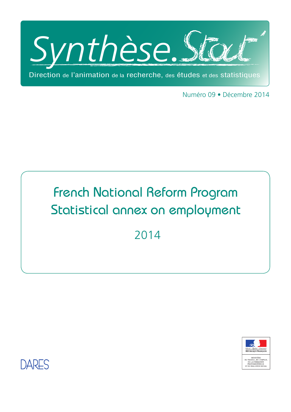

Numéro 09 • Décembre 2014

# French National Reform Program Statistical annex on employment

2014



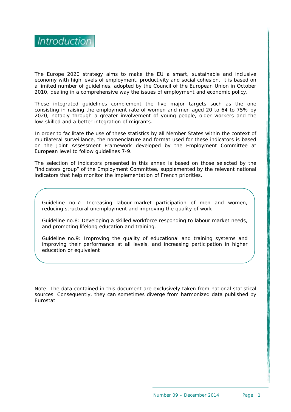

The Europe 2020 strategy aims to make the EU a smart, sustainable and inclusive economy with high levels of employment, productivity and social cohesion. It is based on a limited number of guidelines, adopted by the Council of the European Union in October 2010, dealing in a comprehensive way the issues of employment and economic policy.

These integrated guidelines complement the five major targets such as the one consisting in raising the employment rate of women and men aged 20 to 64 to 75% by 2020, notably through a greater involvement of young people, older workers and the low-skilled and a better integration of migrants.

In order to facilitate the use of these statistics by all Member States within the context of multilateral surveillance, the nomenclature and format used for these indicators is based on the Joint Assessment Framework developed by the Employment Committee at European level to follow guidelines 7-9.

The selection of indicators presented in this annex is based on those selected by the "indicators group" of the Employment Committee, supplemented by the relevant national indicators that help monitor the implementation of French priorities.

Guideline no.7: Increasing labour-market participation of men and women, reducing structural unemployment and improving the quality of work

Guideline no.8: Developing a skilled workforce responding to labour market needs, and promoting lifelong education and training.

Guideline no.9: Improving the quality of educational and training systems and improving their performance at all levels, and increasing participation in higher education or equivalent

Note: The data contained in this document are exclusively taken from national statistical sources. Consequently, they can sometimes diverge from harmonized data published by Eurostat.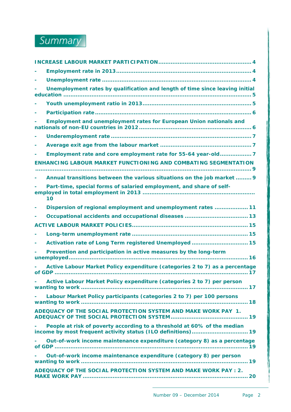

| Unemployment rates by qualification and length of time since leaving initial |
|------------------------------------------------------------------------------|
|                                                                              |
|                                                                              |
| Employment and unemployment rates for European Union nationals and           |
|                                                                              |
|                                                                              |
| Employment rate and core employment rate for 55-64 year-old7                 |
| <b>ENHANCING LABOUR MARKET FUNCTIONING AND COMBATING SEGMENTATION</b>        |
| Annual transitions between the various situations on the job market  9       |
| Part-time, special forms of salaried employment, and share of self-<br>10    |
| Dispersion of regional employment and unemployment rates  11                 |
|                                                                              |
|                                                                              |
|                                                                              |
| Activation rate of Long Term registered Unemployed  15                       |
| Prevention and participation in active measures by the long-term             |
| Active Labour Market Policy expenditure (categories 2 to 7) as a percentage  |
| Active Labour Market Policy expenditure (categories 2 to 7) per person       |
| Labour Market Policy participants (categories 2 to 7) per 100 persons        |
| ADEQUACY OF THE SOCIAL PROTECTION SYSTEM AND MAKE WORK PAY 1.                |
| People at risk of poverty according to a threshold at 60% of the median      |
| Out-of-work income maintenance expenditure (category 8) as a percentage      |
| Out-of-work income maintenance expenditure (category 8) per person           |
| ADEQUACY OF THE SOCIAL PROTECTION SYSTEM AND MAKE WORK PAY : 2.              |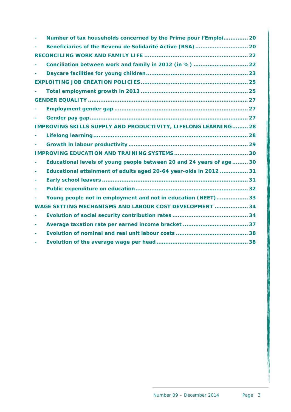|   | Number of tax households concerned by the Prime pour l'Emploi 20      |  |
|---|-----------------------------------------------------------------------|--|
|   |                                                                       |  |
|   |                                                                       |  |
|   | Conciliation between work and family in 2012 (in %)  22               |  |
|   |                                                                       |  |
|   |                                                                       |  |
|   |                                                                       |  |
|   |                                                                       |  |
|   |                                                                       |  |
|   |                                                                       |  |
|   | IMPROVING SKILLS SUPPLY AND PRODUCTIVITY, LIFELONG LEARNING 28        |  |
|   |                                                                       |  |
|   |                                                                       |  |
|   |                                                                       |  |
|   | Educational levels of young people between 20 and 24 years of age  30 |  |
|   | Educational attainment of adults aged 20-64 year-olds in 2012  31     |  |
|   |                                                                       |  |
|   |                                                                       |  |
|   | Young people not in employment and not in education (NEET) 33         |  |
|   | WAGE SETTING MECHANISMS AND LABOUR COST DEVELOPMENT  34               |  |
|   |                                                                       |  |
| ۰ |                                                                       |  |
|   |                                                                       |  |
|   |                                                                       |  |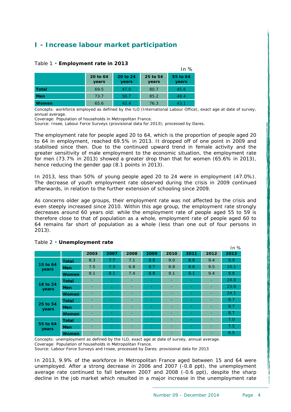# <span id="page-4-0"></span>**I - Increase labour market participation**

|            |                   |                   |                   | In $%$            |
|------------|-------------------|-------------------|-------------------|-------------------|
|            | 20 to 64<br>years | 20 to 24<br>years | 25 to 54<br>years | 55 to 64<br>years |
| Total      | 69.5              | 47.0              | 80.7              | 45.6              |
| <b>Men</b> | 73.7              | 50.7              | 85.2              | 48.4              |
| Women      | 65.6              | 43.4              | 76.3              | 43.1              |

#### <span id="page-4-1"></span>Table 1 • **Employment rate in 2013**

Concepts: workforce employed as defined by the ILO (International Labour Office), exact age at date of survey, annual average.

Coverage: Population of households in Metropolitan France.

Source: Insee, Labour Force Surveys (provisional data for 2013); processed by Dares.

The employment rate for people aged 20 to 64, which is the proportion of people aged 20 to 64 in employment, reached 69.5% in 2013. It dropped off of one point in 2009 and stabilised since then. Due to the continued upward trend in female activity and the greater sensitivity of male employment to the economic situation, the employment rate for men (73.7% in 2013) showed a greater drop than that for women (65.6% in 2013), hence reducing the gender gap (8.1 points in 2013).

In 2013, less than 50% of young people aged 20 to 24 were in employment (47.0%). The decrease of youth employment rate observed during the crisis in 2009 continued afterwards, in relation to the further extension of schooling since 2009.

As concerns older age groups, their employment rate was not affected by the crisis and even steeply increased since 2010. Within this age group, the employment rate strongly decreases around 60 years old: while the employment rate of people aged 55 to 59 is therefore close to that of population as a whole, employment rate of people aged 60 to 64 remains far short of population as a whole (less than one out of four persons in 2013).

|                   |              |      |      |      |                          |                          |      |                          | In $%$ |
|-------------------|--------------|------|------|------|--------------------------|--------------------------|------|--------------------------|--------|
|                   |              | 2003 | 2007 | 2008 | 2009                     | 2010                     | 2011 | 2012                     | 2013   |
|                   | <b>Total</b> | 8.3  | 7.7  | 7.1  | 8.8                      | 9.0                      | 8.8  | 9.4                      | 9.9    |
| 15 to 64<br>years | <b>Men</b>   | 7.5  | 7.3  | 6.8  | 8.7                      | 8.8                      | 8.6  | 9.5                      | 10.1   |
|                   | Women        | 9.1  | 8.1  | 7.4  | 8.8                      | 9.1                      | 9.1  | 9.4                      | 9.8    |
|                   | <b>Total</b> | -    |      | ۰    | ٠                        | ٠                        |      | ۰                        | 24.0   |
| 18 to 24<br>years | <b>Men</b>   | ۰    |      | ۰    | ٠                        | ٠                        |      | ۰                        | 23.9   |
|                   | Women        | ٠    |      | ۰    | $\overline{\phantom{0}}$ | ۰                        |      | ۰                        | 24.1   |
|                   | <b>Total</b> | -    |      | -    |                          | -                        |      |                          | 8.7    |
| 25 to 54<br>years | <b>Men</b>   | ٠    |      | ۰    | ۰                        | ٠                        |      | ٠                        | 8.7    |
|                   | <b>Women</b> | ٠    |      | ۰    |                          | $\overline{\phantom{a}}$ |      | $\overline{\phantom{a}}$ | 8.7    |
| 55 to 64<br>years | <b>Total</b> | ٠    |      | ۰    |                          | ٠                        |      | ۰                        | 7.0    |
|                   | <b>Men</b>   |      |      | -    |                          |                          |      | -                        | 7.5    |
|                   | Women        | ۰    |      | ۰    | $\overline{\phantom{0}}$ | ٠                        |      | ٠                        | 6.5    |

#### <span id="page-4-2"></span>Table 2 • **Unemployment rate**

Concepts: unemployment as defined by the ILO, exact age at date of survey, annual average. Coverage: Population of households in Metropolitan France.

Source: Labour Force Surveys and Insee, processed by Dares; provisional data for 2013

In 2013, 9.9% of the workforce in Metropolitan France aged between 15 and 64 were unemployed. After a strong decrease in 2006 and 2007 (-0.8 ppt), the unemployment average rate continued to fall between 2007 and 2008 (-0.6 ppt), despite the sharp decline in the job market which resulted in a major increase in the unemployment rate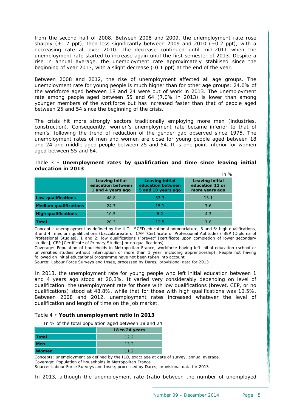from the second half of 2008. Between 2008 and 2009, the unemployment rate rose sharply  $(+1.7 \text{ ppt})$ , then less significantly between 2009 and 2010  $(+0.2 \text{ ppt})$ , with a decreasing rate all over 2010. The decrease continued until mid-2011 when the unemployment rate started to increase again until the first semester of 2013. Despite a rise in annual average, the unemployment rate approximately stabilised since the beginning of year 2013, with a slight decrease (-0.1 ppt) at the end of the year.

Between 2008 and 2012, the rise of unemployment affected all age groups. The unemployment rate for young people is much higher than for other age groups: 24.0% of the workforce aged between 18 and 24 were out of work in 2013. The unemployment rate among people aged between 55 and 64 (7.0% in 2013) is lower than among younger members of the workforce but has increased faster than that of people aged between 25 and 54 since the beginning of the crisis.

The crisis hit more strongly sectors traditionally employing more men (industries, construction). Consequently, women's unemployment rate became inferior to that of men's, following the trend of reduction of the gender gap observed since 1975. The unemployment rates of men and women are close for young people aged between 18 and 24 and middle-aged people between 25 and 54. It is one point inferior for women aged between 55 and 64.

<span id="page-5-0"></span>

|  | Table 3 • Unemployment rates by qualification and time since leaving initial |  |  |  |  |
|--|------------------------------------------------------------------------------|--|--|--|--|
|  | education in 2013                                                            |  |  |  |  |

|                              |                                                                  |                                                                   | In $%$                                                      |
|------------------------------|------------------------------------------------------------------|-------------------------------------------------------------------|-------------------------------------------------------------|
|                              | <b>Leaving initial</b><br>education between<br>1 and 4 years ago | <b>Leaving initial</b><br>education between<br>5 and 10 years ago | <b>Leaving initial</b><br>education 11 or<br>more years ago |
| Low qualifications           | 48.8                                                             | 33.3                                                              | 13.1                                                        |
| <b>Medium qualifications</b> | 24.7                                                             | 15.1                                                              | 7.6                                                         |
| <b>High qualifications</b>   | 10.5                                                             | 6.2                                                               | 4.3                                                         |
| <b>Total</b>                 | 20.3                                                             | 12.5                                                              | 7. R                                                        |

Concepts: unemployment as defined by the ILO, ISCED educational nomenclature; 5 and 6: high qualifications, 3 and 4: medium qualifications (baccalaureate or CAP (Certificate of Professional Aptitude) / BEP (Diploma of Professional Studies), 1 and 2: low qualifications ("brevet" [certificate upon completion of lower secondary studies], CEP [Certificate of Primary Studies] or no qualifications)

Coverage: Population of households in Metropolitan France, workforce having left initial education (school or universities studies without interruption of more than 1 year, including apprenticeship). People not having followed an initial educational programme have not been taken into account.

Source: Labour Force Surveys and Insee, processed by Dares; provisional data for 2013

In 2013, the unemployment rate for young people who left initial education between 1 and 4 years ago stood at 20.3%. It varied very considerably depending on level of qualification: the unemployment rate for those with low qualifications (brevet, CEP, or no qualifications) stood at 48.8%, while that for those with high qualifications was 10.5%. Between 2008 and 2012, unemployment rates increased whatever the level of qualification and length of time on the job market.

#### <span id="page-5-1"></span>Table 4 • **Youth unemployment ratio in 2013**

In % of the total population aged between 18 and 24

|       | 18 to 24 years  |
|-------|-----------------|
| Total | 12.2            |
| Men   | 13.2            |
| Women | 11 <sub>2</sub> |

Concepts: unemployment as defined by the ILO, exact age at date of survey, annual average. Coverage: Population of households in Metropolitan France. Source: Labour Force Surveys and Insee, processed by Dares; provisional data for 2013

In 2013, although the unemployment rate (ratio between the number of unemployed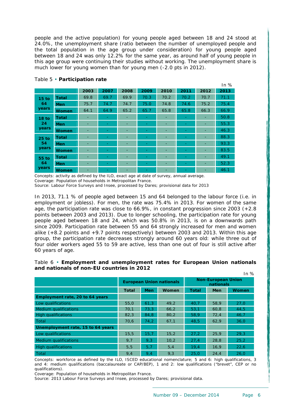people and the active population) for young people aged between 18 and 24 stood at 24.0%, the unemployment share (ratio between the number of unemployed people and the total population in the age group under consideration) for young people aged between 18 and 24 was only 12.2% for the same year, as around half of young people in this age group were continuing their studies without working. The unemployment share is much lower for young women than for young men (-2.0 pts in 2012).

<span id="page-6-0"></span>

|                  |              |      |      |      |      |      |                          |      | In $%$ |
|------------------|--------------|------|------|------|------|------|--------------------------|------|--------|
|                  |              | 2003 | 2007 | 2008 | 2009 | 2010 | 2011                     | 2012 | 2013   |
| 15 <sub>to</sub> | <b>Total</b> | 69.8 | 69.7 | 69.9 | 70.3 | 70.2 | 70.2                     | 70.7 | 71.1   |
| 64               | <b>Men</b>   | 75.7 | 74.7 | 74.7 | 75.0 | 74.8 | 74.6                     | 75.2 | 75.4   |
| years            | <b>Women</b> | 64.1 | 64.9 | 65.2 | 65.7 | 65.8 | 65.8                     | 66.3 | 66.9   |
| 18 <sub>to</sub> | <b>Total</b> | ۰    |      | ٠    | ۰    | ٠    | $\overline{\phantom{0}}$ | ۰    | 50.8   |
| 24               | <b>Men</b>   | ٠    |      | ٠    | ۰    | ٠    | ٠                        | ۰    | 55.3   |
| years            | <b>Women</b> | ٠    |      | ٠    |      | ٠    | ۰                        | ۰    | 46.3   |
| <b>25 to</b>     | <b>Total</b> | ٠    |      | ٠    | ٠    | ٠    | ٠                        | ۰    | 88.3   |
| 54               | <b>Men</b>   | ۰    |      | ٠    |      | ٠    | ۰                        |      | 93.3   |
| years            | <b>Women</b> | ۰    |      | ٠    |      | ۰    | ۰                        | ۰    | 83.5   |
| 55 to<br>64      | <b>Total</b> | ٠    |      | ٠    |      | ٠    |                          | ۰    | 49.1   |
|                  | <b>Men</b>   | ٠    |      | ٠    |      | ٠    | $\overline{\phantom{0}}$ | ۰    | 52.3   |
| years            | <b>Women</b> | ٠    |      | ٠    | -    | ۰    | $\overline{\phantom{0}}$ | ۰    | 46.1   |

#### Table 5 • **Participation rate**

Concepts: activity as defined by the ILO, exact age at date of survey, annual average. Coverage: Population of households in Metropolitan France. Source: Labour Force Surveys and Insee, processed by Dares; provisional data for 2013

In 2013, 71.1 % of people aged between 15 and 64 belonged to the labour force (i.e. in employment or jobless). For men, the rate was 75.4% in 2013. For women of the same age, the participation rate was close to  $66.9\%$ , in constant progression since 2003  $(+2.8)$ points between 2003 and 2013). Due to longer schooling, the participation rate for young people aged between 18 and 24, which was 50.8% in 2013, is on a downwards path since 2009. Participation rate between 55 and 64 strongly increased for men and women alike (+8.2 points and +9.7 points respectively) between 2003 and 2013. Within this age group, the participation rate decreases strongly around 60 years old: while three out of four older workers aged 55 to 59 are active, less than one out of four is still active after 60 years of age.

#### <span id="page-6-1"></span>Table 6 • **Employment and unemployment rates for European Union nationals and nationals of non-EU countries in 2012**  $In 0/2$

| 11 I ZU                           |              |            |                                 |                                        |            |       |  |
|-----------------------------------|--------------|------------|---------------------------------|----------------------------------------|------------|-------|--|
|                                   |              |            | <b>European Union nationals</b> | <b>Non-European Union</b><br>nationals |            |       |  |
|                                   | <b>Total</b> | <b>Men</b> | Women                           | <b>Total</b>                           | <b>Men</b> | Women |  |
| Employment rate, 20 to 64 years   |              |            |                                 |                                        |            |       |  |
| Low qualifications                | 55,0         | 61.3       | 49.2                            | 40.7                                   | 58.9       | 27,0  |  |
| <b>Medium qualifications</b>      | 70,1         | 73.3       | 66,2                            | 53,1                                   | 60,8       | 44,5  |  |
| <b>High qualifications</b>        | 82,3         | 84,8       | 80,2                            | 58,9                                   | 72,4       | 46,7  |  |
| <b>Total</b>                      | 70,6         | 74,2       | 67,1                            | 48,5                                   | 62,9       | 36,0  |  |
| Unemployment rate, 15 to 64 years |              |            |                                 |                                        |            |       |  |
| Low qualifications                | 15,5         | 15,7       | 15,2                            | 27,2                                   | 25,9       | 29,3  |  |
| <b>Medium qualifications</b>      | 9.7          | 9,3        | 10,2                            | 27.4                                   | 28,8       | 25,2  |  |
| High qualifications               | 5,5          | 5,7        | 5,4                             | 19.4                                   | 16,9       | 22,6  |  |
| Total                             | 9,4          | 9,4        | 9,3                             | 25.0                                   | 24,4       | 26,0  |  |

Concepts: workforce as defined by the ILO, ISCED educational nomenclature; 5 and 6: high qualifications, 3 and 4: medium qualifications (baccalaureate or CAP/BEP), 1 and 2: low qualifications ("brevet", CEP or no qualifications).

Coverage: Population of households in Metropolitan France.

Source: 2013 Labour Force Surveys and Insee, processed by Dares; provisional data.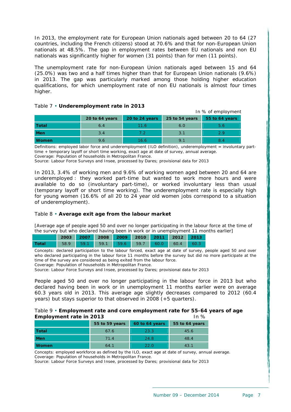In 2013, the employment rate for European Union nationals aged between 20 to 64 (27 countries, including the French citizens) stood at 70.6% and that for non-European Union nationals at 48.5%. The gap in employment rates between EU nationals and non EU nationals was significantly higher for women (31 points) than for men (11 points).

The unemployment rate for non-European Union nationals aged between 15 and 64 (25.0%) was two and a half times higher than that for European Union nationals (9.6%) in 2013. The gap was particularly marked among those holding higher education qualifications, for which unemployment rate of non EU nationals is almost four times higher.

## <span id="page-7-0"></span>Table 7 • **Underemployment rate in 2013** In % of employment **20 to 64 years 20 to 24 years 25 to 54 years 55 to 64 years Total** 6.4 11.6 6.0 5.6 **Men** 3.4 7.2 3.1 2.9

**Women** 9.6 16.6 9.1 8.4

Definitions: employed labor force and underemployment (ILO definition), underemployment = involuntary parttime + temporary layoff or short time working, exact age at date of survey, annual average. Coverage: Population of households in Metropolitan France.

Source: Labour Force Surveys and Insee, processed by Dares; provisional data for 2013

In 2013, 3.4% of working men and 9.6% of working women aged between 20 and 64 are underemployed : they worked part-time but wanted to work more hours and were available to do so (involuntary part-time), or worked involuntary less than usual (temporary layoff or short time working). The underemployment rate is especially high for young women (16.6% of all 20 to 24 year old women jobs correspond to a situation of underemployment).

#### <span id="page-7-1"></span>Table 8 • **Average exit age from the labour market**

[Average age of people aged 50 and over no longer participating in the labour force at the time of the survey but who declared having been in work or in unemployment 11 months earlier]

|                                                      |  | 2003 2007 2008 2009 2010 2011 2012 2013 |  |  |  |
|------------------------------------------------------|--|-----------------------------------------|--|--|--|
| <b>Total</b> 58.9 59.1 59.1 59.6 59.7 60.0 60.4 60.3 |  |                                         |  |  |  |

Concepts: declared participation to the labour forced, exact age at date of survey, people aged 50 and over who declared participating in the labour force 11 months before the survey but did no more participate at the time of the survey are considered as being exited from the labour force.

Coverage: Population of households in Metropolitan France.

Source: Labour Force Surveys and Insee, processed by Dares; provisional data for 2013

People aged 50 and over no longer participating in the labour force in 2013 but who declared having been in work or in unemployment 11 months earlier were on average 60.3 years old in 2013. This average age slightly decreases compared to 2012 (60.4 years) but stays superior to that observed in 2008 (+5 quarters).

#### <span id="page-7-2"></span>Table 9 • **Employment rate and core employment rate for 55-64 years of age Employment rate in 2013 In %** In %

|              | 55 to 59 years | 60 to 64 years | 55 to 64 years |
|--------------|----------------|----------------|----------------|
| Total        | 67.6           | 23.3           | 45.6           |
| <b>Men</b>   | 71.4           | 24.8           | 48.4           |
| <b>Women</b> | 64.1           | 22 O           | 43.1           |

Concepts: employed workforce as defined by the ILO, exact age at date of survey, annual average. Coverage: Population of households in Metropolitan France.

Source: Labour Force Surveys and Insee, processed by Dares; provisional data for 2013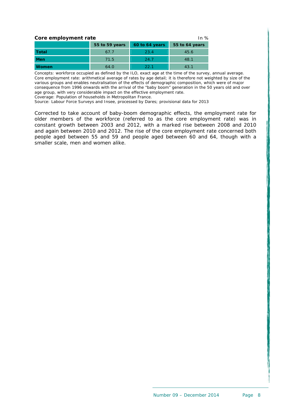| Core employment rate<br>In $%$ |                |                |                |  |  |  |  |  |
|--------------------------------|----------------|----------------|----------------|--|--|--|--|--|
|                                | 55 to 59 years | 60 to 64 years | 55 to 64 years |  |  |  |  |  |
| <b>Total</b>                   | 67.7           | 23.4           | 45.6           |  |  |  |  |  |
| Men                            | 71.5           | 24.7           | 48.1           |  |  |  |  |  |
| <b>Women</b>                   | 64.0           | 22.1           | 43.1           |  |  |  |  |  |

Concepts: workforce occupied as defined by the ILO, exact age at the time of the survey, annual average. Core employment rate: arithmetical average of rates by age detail; it is therefore not weighted by size of the various groups and enables neutralisation of the effects of demographic composition, which were of major consequence from 1996 onwards with the arrival of the "baby boom" generation in the 50 years old and over age group, with very considerable impact on the effective employment rate. Coverage: Population of households in Metropolitan France.

Source: Labour Force Surveys and Insee, processed by Dares; provisional data for 2013

Corrected to take account of baby-boom demographic effects, the employment rate for older members of the workforce (referred to as the core employment rate) was in constant growth between 2003 and 2012, with a marked rise between 2008 and 2010 and again between 2010 and 2012. The rise of the core employment rate concerned both people aged between 55 and 59 and people aged between 60 and 64, though with a smaller scale, men and women alike.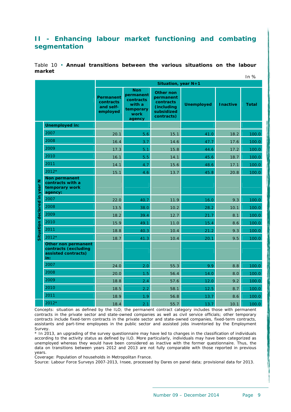## <span id="page-9-0"></span>**II - Enhancing labour market functioning and combating segmentation**

<span id="page-9-1"></span>Table 10 • **Annual transitions between the various situations on the labour market**  $In 02$ 

|                                 |                                                                           |                                                 |                                                                               | Situation, year N+1                                                                  |                   |                 | 11 I ZO      |
|---------------------------------|---------------------------------------------------------------------------|-------------------------------------------------|-------------------------------------------------------------------------------|--------------------------------------------------------------------------------------|-------------------|-----------------|--------------|
|                                 |                                                                           | Permanent<br>contracts<br>and self-<br>employed | <b>Non</b><br>permanent<br>contracts<br>with a<br>temporary<br>work<br>agency | <b>Other non</b><br>permanent<br>contracts<br>(including<br>subsidized<br>contracts) | <b>Unemployed</b> | <b>Inactive</b> | <b>Total</b> |
|                                 | <b>Unemployed in:</b>                                                     |                                                 |                                                                               |                                                                                      |                   |                 |              |
|                                 | 2007                                                                      | 20.1                                            | 5.6                                                                           | 15.1                                                                                 | 41.0              | 18.2            | 100.0        |
|                                 | 2008                                                                      | 16.4                                            | 3.7                                                                           | 14.6                                                                                 | 47.7              | 17.6            | 100.0        |
|                                 | 2009                                                                      | 17.3                                            | 5.1                                                                           | 15.8                                                                                 | 44.6              | 17.2            | 100.0        |
|                                 | 2010                                                                      | 16.1                                            | 5.5                                                                           | 14.1                                                                                 | 45.6              | 18.7            | 100.0        |
|                                 | 2011                                                                      | 14.1                                            | 4.7                                                                           | 15.6                                                                                 | 48.6              | 17.1            | 100.0        |
|                                 | $2012*$                                                                   | 15.1                                            | 4.6                                                                           | 13.7                                                                                 | 45.8              | 20.8            | 100.0        |
| z<br>Situation declared in year | Non permanent<br>contracts with a<br>temporary work<br>agency:            |                                                 |                                                                               |                                                                                      |                   |                 |              |
|                                 | 2007                                                                      | 22.0                                            | 40.7                                                                          | 11.9                                                                                 | 16.0              | 9.3             | 100.0        |
|                                 | 2008                                                                      | 13.5                                            | 38.0                                                                          | 10.2                                                                                 | 28.2              | 10.1            | 100.0        |
|                                 | 2009                                                                      | 18.2                                            | 39.4                                                                          | 12.7                                                                                 | 21.7              | 8.1             | 100.0        |
|                                 | 2010                                                                      | 15.9                                            | 49.1                                                                          | 11.0                                                                                 | 15.4              | 8.6             | 100.0        |
|                                 | 2011                                                                      | 18.8                                            | 40.3                                                                          | 10.4                                                                                 | 21.2              | 9.3             | 100.0        |
|                                 | 2012*                                                                     | 18.7                                            | 41.3                                                                          | 10.4                                                                                 | 20.1              | 9.5             | 100.0        |
|                                 | Other non permanent<br>contracts (excluding<br>assisted contracts)<br>in: |                                                 |                                                                               |                                                                                      |                   |                 |              |
|                                 | 2007                                                                      | 24.0                                            | 2.0                                                                           | 55.3                                                                                 | 9.9               | 8.8             | 100.0        |
|                                 | 2008                                                                      | 20.0                                            | 1.5                                                                           | 56.4                                                                                 | 14.0              | 8.0             | 100.0        |
|                                 | 2009                                                                      | 18.8                                            | 2.4                                                                           | 57.6                                                                                 | 12.0              | 9.2             | 100.0        |
|                                 | 2010                                                                      | 18.5                                            | 2.2                                                                           | 58.1                                                                                 | 12.5              | 8.7             | 100.0        |
|                                 | 2011                                                                      | 18.9                                            | 1.9                                                                           | 56.8                                                                                 | 13.7              | 8.6             | 100.0        |
|                                 | 2012*                                                                     | 18.4                                            | 2.1                                                                           | 55.7                                                                                 | 13.7              | 10.1            | 100.0        |

Concepts: situation as defined by the ILO; the permanent contract category includes those with permanent contracts in the private sector and state-owned companies as well as civil service officials; other temporary contracts include fixed-term contracts in the private sector and state-owned companies, fixed-term contracts, assistants and part-time employees in the public sector and assisted jobs inventoried by the Employment Survey.

\* In 2013, an upgrading of the survey questionnaire may have led to changes in the classification of individuals according to the activity status as defined by ILO. More particularly, individuals may have been categorized as unemployed whereas they would have been considered as inactive with the former questionnaire. Thus, the data on transitions between years 2012 and 2013 are not fully comparable with those reported in previous years.

Coverage: Population of households in Metropolitan France.

Source: Labour Force Surveys 2007-2013, Insee, processed by Dares on panel data; provisional data for 2013.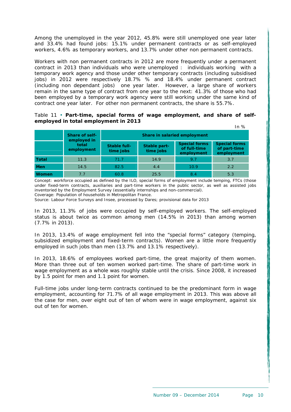Among the unemployed in the year 2012, 45.8% were still unemployed one year later and 33.4% had found jobs: 15.1% under permanent contracts or as self-employed workers, 4.6% as temporary workers, and 13.7% under other non permanent contracts.

Workers with non permanent contracts in 2012 are more frequently under a permanent contract in 2013 than individuals who were unemployed : individuals working with a temporary work agency and those under other temporary contracts (including subsidised jobs) in 2012 were respectively 18.7% % and 18.4% under permanent contract (including non dependant jobs) one year later. However, a large share of workers remain in the same type of contract from one year to the next: 41.3% of those who had been employed by a temporary work agency were still working under the same kind of contract one year later. For other non permanent contracts, the share is 55.7%.

#### <span id="page-10-0"></span>Table 11 • **Part-time, special forms of wage employment, and share of selfemployed in total employment in 2013**

|              |                       |                                             |                           |                                                    | In %                                               |  |  |  |
|--------------|-----------------------|---------------------------------------------|---------------------------|----------------------------------------------------|----------------------------------------------------|--|--|--|
|              | <b>Share of self-</b> | Share in salaried employment<br>employed in |                           |                                                    |                                                    |  |  |  |
|              | total<br>employment   | Stable full-<br>time jobs                   | Stable part-<br>time jobs | <b>Special forms</b><br>of full-time<br>employment | <b>Special forms</b><br>of part-time<br>employment |  |  |  |
| <b>Total</b> | 11.3                  | 71.7                                        | 14.9                      | 9.7                                                | 3.7                                                |  |  |  |
| <b>Men</b>   | 14.5                  | 82.5                                        | 4.4                       | 10.9                                               | 2.2                                                |  |  |  |
| <b>Women</b> | 7.7                   | 60.8                                        | 25.5                      | 8.4                                                | 5.3                                                |  |  |  |

Concept: workforce occupied as defined by the ILO, special forms of employment include temping, FTCs (those under fixed-term contracts, auxiliaries and part-time workers in the public sector, as well as assisted jobs inventoried by the Employment Survey (essentially internships and non-commercial). Coverage: Population of households in Metropolitan France.

Source: Labour Force Surveys and Insee, processed by Dares; provisional data for 2013

In 2013, 11.3% of jobs were occupied by self-employed workers. The self-employed status is about twice as common among men (14.5% in 2013) than among women (7.7% in 2013).

In 2013, 13.4% of wage employment fell into the "special forms" category (temping, subsidized employment and fixed-term contracts). Women are a little more frequently employed in such jobs than men (13.7% and 13.1% respectively).

In 2013, 18.6% of employees worked part-time, the great majority of them women. More than three out of ten women worked part-time. The share of part-time work in wage employment as a whole was roughly stable until the crisis. Since 2008, it increased by 1.5 point for men and 1.1 point for women.

Full-time jobs under long-term contracts continued to be the predominant form in wage employment, accounting for 71.7% of all wage employment in 2013. This was above all the case for men, over eight out of ten of whom were in wage employment, against six out of ten for women.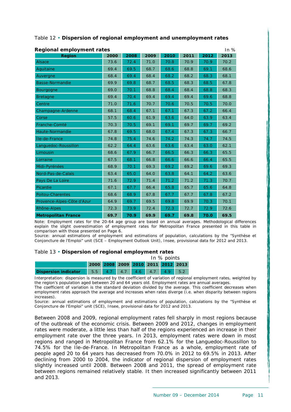| <b>Regional employment rates</b><br>In $%$ |      |      |      |      |      |      |      |  |  |  |
|--------------------------------------------|------|------|------|------|------|------|------|--|--|--|
| <b>Region</b>                              | 2000 | 2008 | 2009 | 2010 | 2011 | 2012 | 2013 |  |  |  |
| Alsace                                     | 73.6 | 72.4 | 71.0 | 70.8 | 70.9 | 70.9 | 70.2 |  |  |  |
| Aquitaine                                  | 69.4 | 69.5 | 68.7 | 68.6 | 68.8 | 69.1 | 68.6 |  |  |  |
| Auvergne                                   | 68.4 | 69.4 | 68.4 | 68.2 | 68.2 | 68.3 | 68.1 |  |  |  |
| <b>Basse-Normandie</b>                     | 69.9 | 69.8 | 68.7 | 68.5 | 68.3 | 68.5 | 67.8 |  |  |  |
| <b>Bourgogne</b>                           | 69.0 | 70.1 | 68.8 | 68.4 | 68.4 | 68.8 | 68.3 |  |  |  |
| <b>Bretagne</b>                            | 69.4 | 70.4 | 69.4 | 69.4 | 69.4 | 69.6 | 68.8 |  |  |  |
| Centre                                     | 71.0 | 71.6 | 70.7 | 70.6 | 70.5 | 70.5 | 70.0 |  |  |  |
| Champagne-Ardenne                          | 68.1 | 68.4 | 67.1 | 67.1 | 67.3 | 67.2 | 66.4 |  |  |  |
| Corse                                      | 57.5 | 60.6 | 61.9 | 63.6 | 64.0 | 63.9 | 63.4 |  |  |  |
| Franche-Comté                              | 70.3 | 70.5 | 69.1 | 69.1 | 69.7 | 69.7 | 69.2 |  |  |  |
| Haute-Normandie                            | 67.8 | 69.5 | 68.0 | 67.4 | 67.3 | 67.3 | 66.7 |  |  |  |
| Île-de-France                              | 74.8 | 75.4 | 74.6 | 74.2 | 74.3 | 74.7 | 74.5 |  |  |  |
| Languedoc-Roussillon                       | 62.2 | 64.4 | 63.6 | 63.6 | 63.4 | 63.0 | 62.1 |  |  |  |
| Limousin                                   | 68.6 | 67.9 | 66.7 | 66.5 | 66.3 | 66.3 | 65.5 |  |  |  |
| Lorraine                                   | 67.5 | 68.1 | 66.8 | 66.6 | 66.6 | 66.4 | 65.5 |  |  |  |
| Midi-Pyrénées                              | 68.9 | 70.1 | 69.3 | 69.2 | 69.2 | 69.6 | 69.3 |  |  |  |
| Nord-Pas-de-Calais                         | 63.4 | 65.0 | 64.0 | 63.8 | 64.1 | 64.2 | 63.6 |  |  |  |
| Pays De La Loire                           | 71.6 | 72.9 | 71.4 | 71.2 | 71.2 | 71.3 | 70.7 |  |  |  |
| Picardie                                   | 67.1 | 67.7 | 66.4 | 65.8 | 65.7 | 65.6 | 64.8 |  |  |  |
| <b>Poitou-Charentes</b>                    | 68.6 | 68.9 | 67.8 | 67.7 | 67.7 | 67.8 | 67.2 |  |  |  |
| Provence-Alpes-Côte d'Azur                 | 64.9 | 69.7 | 69.5 | 69.8 | 69.9 | 70.3 | 70.1 |  |  |  |
| Rhône-Alpes                                | 72.3 | 73.9 | 72.4 | 72.3 | 72.7 | 72.9 | 72.6 |  |  |  |
| <b>Metropolitan France</b>                 | 69.7 | 70.9 | 69.9 | 69.7 | 69.8 | 70.0 | 69.5 |  |  |  |

## <span id="page-11-0"></span>Table 12 • **Dispersion of regional employment and unemployment rates**

Note: Employment rates for the 20-64 age group are based on annual averages. Methodological differences explain the slight overestimation of employment rates for Metropolitan France presented in this table in comparison with those presented on Page 6. Source: annual estimations of employment and estimations of population, calculations by the "Synthèse et

Conjoncture de l'Emploi" unit (SCE – Employment Outlook Unit), Insee, provisional data for 2012 and 2013.

#### Table 13 • **Dispersion of regional employment rates**

|                                                         |                                    |  |  |  |  | In $%$ points |  |
|---------------------------------------------------------|------------------------------------|--|--|--|--|---------------|--|
|                                                         | 2000 2008 2009 2010 2011 2012 2013 |  |  |  |  |               |  |
| <b>Dispersion indicator</b> 5.5 4.7 4.7 4.6 4.7 4.9 5.2 |                                    |  |  |  |  |               |  |

Interpretation: dispersion is measured by the coefficient of variation of regional employment rates, weighted by the region's population aged between 20 and 64 years old. Employment rates are annual averages.

The coefficient of variation is the standard deviation divided by the average. This coefficient decreases when employment rates approach the average and increases when rates diverge (i.e. when disparity between regions increases).

Source: annual estimations of employment and estimations of population, calculations by the "Synthèse et Conjoncture de l'Emploi" unit (SCE), Insee, provisional data for 2012 and 2013.

Between 2008 and 2009, regional employment rates fell sharply in most regions because of the outbreak of the economic crisis. Between 2009 and 2012, changes in employment rates were moderate, a little less than half of the regions experienced an increase in their employment rate over the three years. In 2013, employment rates were down in most regions and ranged in Metropolitan France from 62.1% for the Languedoc-Roussillon to 74.5% for the Ile-de-France. In Metropolitan France as a whole, employment rate of people aged 20 to 64 years has decreased from 70.0% in 2012 to 69.5% in 2013. After declining from 2000 to 2004, the indicator of regional dispersion of employment rates slightly increased until 2008. Between 2008 and 2011, the spread of employment rate between regions remained relatively stable. It then increased significantly between 2011 and 2013.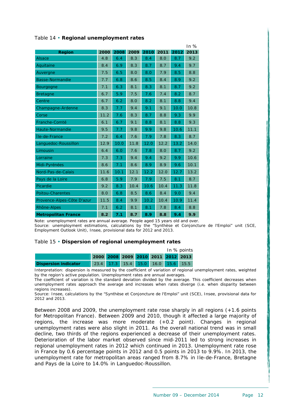|                            |      |      |      |      |      |      | In $%$ |
|----------------------------|------|------|------|------|------|------|--------|
| <b>Region</b>              | 2000 | 2008 | 2009 | 2010 | 2011 | 2012 | 2013   |
| <b>Alsace</b>              | 4.8  | 6.4  | 8.3  | 8.4  | 8.0  | 8.7  | 9.2    |
| Aquitaine                  | 8.4  | 6.9  | 8.3  | 8.7  | 8.7  | 9.4  | 9.7    |
| Auvergne                   | 7.5  | 6.5  | 8.0  | 8.0  | 7.9  | 8.5  | 8.8    |
| <b>Basse-Normandie</b>     | 7.7  | 6.8  | 8.6  | 8.5  | 8.4  | 8.9  | 9.2    |
| Bourgogne                  | 7.1  | 6.3  | 8.1  | 8.3  | 8.1  | 8.7  | 9.2    |
| <b>Bretagne</b>            | 6.7  | 5.9  | 7.5  | 7.6  | 7.4  | 8.2  | 8.7    |
| Centre                     | 6.7  | 6.2  | 8.0  | 8.2  | 8.1  | 8.8  | 9.4    |
| Champagne-Ardenne          | 8.3  | 7.7  | 9.4  | 9.1  | 9.1  | 10.0 | 10.8   |
| Corse                      | 11.2 | 7.6  | 8.3  | 8.7  | 8.8  | 9.3  | 9.9    |
| Franche-Comté              | 6.1  | 6.7  | 9.1  | 8.8  | 8.1  | 8.8  | 9.3    |
| Haute-Normandie            | 9.5  | 7.7  | 9.8  | 9.9  | 9.8  | 10.6 | 11.1   |
| Île-de-France              | 7.2  | 6.4  | 7.6  | 7.9  | 7.8  | 8.3  | 8.7    |
| Languedoc-Roussillon       | 12.9 | 10.0 | 11.8 | 12.0 | 12.2 | 13.2 | 14.0   |
| Limousin                   | 6.4  | 6.0  | 7.6  | 7.8  | 8.0  | 8.7  | 9.2    |
| Lorraine                   | 7.3  | 7.3  | 9.4  | 9.4  | 9.2  | 9.9  | 10.6   |
| Midi-Pyrénées              | 8.6  | 7.1  | 8.6  | 8.9  | 8.9  | 9.6  | 10.1   |
| Nord-Pas-de-Calais         | 11.6 | 10.1 | 12.1 | 12.2 | 12.0 | 12.7 | 13.2   |
| Pays de la Loire           | 6.8  | 5.9  | 7.9  | 7.9  | 7.5  | 8.1  | 8.7    |
| Picardie                   | 9.2  | 8.3  | 10.4 | 10.6 | 10.4 | 11.3 | 11.8   |
| <b>Poitou-Charentes</b>    | 8.0  | 6.8  | 8.5  | 8.6  | 8.4  | 9.0  | 9.4    |
| Provence-Alpes-Côte D'azur | 11.5 | 8.4  | 9.9  | 10.2 | 10.4 | 10.9 | 11.4   |
| Rhône-Alpes                | 7.1  | 6.2  | 8.1  | 8.1  | 7.8  | 8.4  | 8.8    |
| <b>Metropolitan France</b> | 8.2  | 7.1  | 8.7  | 8.9  | 8.8  | 9.4  | 9.9    |

## Table 14 • **Regional unemployment rates**

Note: unemployment rates are annual average. People aged 15 years old and over. Source: unemployment estimations, calculations by the "Synthèse et Conjoncture de l'Emploi" unit (SCE, Employment Outlook Unit), Insee, provisional data for 2012 and 2013.

#### Table 15 • **Dispersion of regional unemployment rates**

|                      |                                    |  |  |                                    | In % points |
|----------------------|------------------------------------|--|--|------------------------------------|-------------|
|                      | 2000 2008 2009 2010 2011 2012 2013 |  |  |                                    |             |
| Dispersion indicator |                                    |  |  | 23.4 17.3 15.4 15.0 16.0 15.6 15.5 |             |

Interpretation: dispersion is measured by the coefficient of variation of regional unemployment rates, weighted by the region's active population. Unemployment rates are annual averages.

The coefficient of variation is the standard deviation divided by the average. This coefficient decreases when unemployment rates approach the average and increases when rates diverge (i.e. when disparity between regions increases).

Source: Insee, calculations by the "Synthèse et Conjoncture de l'Emploi" unit (SCE), Insee, provisional data for 2012 and 2013.

Between 2008 and 2009, the unemployment rate rose sharply in all regions (+1.6 points for Metropolitan France). Between 2009 and 2010, though it affected a large majority of regions, the increase was more moderate (+0.2 point). Changes in regional unemployment rates were also slight in 2011. As the overall national trend was in small decline, two thirds of the regions experienced a decrease of their unemployment rates. Deterioration of the labor market observed since mid-2011 led to strong increases in regional unemployment rates in 2012 which continued in 2013. Unemployment rate rose in France by 0.6 percentage points in 2012 and 0.5 points in 2013 to 9.9%. In 2013, the unemployment rate for metropolitan areas ranged from 8.7% in Ile-de-France, Bretagne and Pays de la Loire to 14.0% in Languedoc-Roussillon.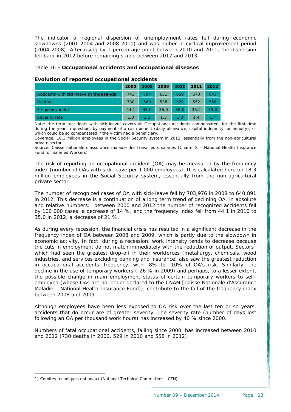The indicator of regional dispersion of unemployment rates fell during economic slowdowns (2001-2004 and 2008-2010) and was higher in cyclical improvement period (2004-2008). After rising by 1 percentage point between 2010 and 2011, the dispersion fell back in 2012 before remaining stable between 2012 and 2013.

#### <span id="page-13-0"></span>Table 16 • **Occupational accidents and occupational diseases**

|                                        | 2000 | 2008    | 2009 2010 2011 2012 |         |      |      |
|----------------------------------------|------|---------|---------------------|---------|------|------|
| Accidents with sick-leave in thousands | 743  | 704     | 651                 | 659     | 670  | 641  |
| <b>Deaths</b>                          | 730  | 569     | 538                 | 529     | 552  | 558  |
| Frequency index                        | 44.1 | 38.0    | 36.0                | 36.0    | 36.2 | 35.0 |
| Severity rate                          | 1.0  | $1.3 -$ | 1.3                 | $1.3 -$ | 1.4  | 1.4  |

#### **Evolution of reported occupational accidents**

Note: the term "accidents with sick-leave" covers all Occupational Accidents compensated, for the first time during the year in question, by payment of a cash benefit (daily allowance, capital indemnity, or annuity), or which could be so compensated if the victim had a beneficiary.

Coverage: 18.3 million employees in the Social Security system in 2012, essentially from the non-agricultural private sector.

Source: Caisse nationale d'assurance maladie des travailleurs salariés (Cnam-TS – National Health Insurance Fund for Salaried Workers)

The risk of reporting an occupational accident (OA) may be measured by the frequency index (number of OAs with sick-leave per 1 000 employees). It is calculated here on 18.3 million employees in the Social Security system, essentially from the non-agricultural private sector.

The number of recognized cases of OA with sick-leave fell by 703,976 in 2008 to 640,891 in 2012. This decrease is a continuation of a long term trend of declining OA, in absolute and relative numbers: between 2000 and 2012 the number of recognized accidents fell by 100 000 cases, a decrease of 14 %, and the frequency index fell from 44.1 in 2010 to 35.0 in 2012, a decrease of 21 %.

As during every recession, the financial crisis has resulted in a significant decrease in the frequency index of OA between 2008 and 2009, which is partly due to the slowdown in economic activity. In fact, during a recession, work intensity tends to decrease because the cuts in employment do not match immediately with the reduction of output. Sectors<sup>[1](#page-13-1)</sup> which had seen the greatest drop-off in their workforces (metallurgy, chemicals, wood industries, and services excluding banking and insurance) also saw the greatest reduction in occupational accidents' frequency, with -8% to -10% of OA's risk. Similarly, the decline in the use of temporary workers (-26 % in 2009) and perhaps, to a lesser extent, the possible change in main employment status of certain temporary workers to selfemployed (whose OAs are no longer declared to the CNAM [Caisse Nationale d'Assurance Maladie – National Health Insurance Fund]), contribute to the fall of the frequency index between 2008 and 2009.

Although employees have been less exposed to OA risk over the last ten or so years, accidents that do occur are of greater severity. The severity rate (number of days lost following an OA per thousand work hours) has increased by 40 % since 2000.

Numbers of fatal occupational accidents, falling since 2000, has increased between 2010 and 2012 (730 deaths in 2000, 529 in 2010 and 558 in 2012).

1

<span id="page-13-1"></span>*<sup>1)</sup> Comités techniques nationaux (National Technical Committees - CTN).*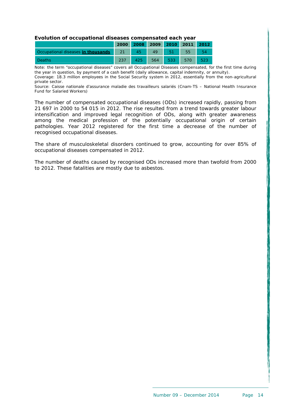#### **Evolution of occupational diseases compensated each year**

|                                             |         | 2000 2008 2009 2010 2011 2012 |              |     |  |
|---------------------------------------------|---------|-------------------------------|--------------|-----|--|
| Occupational diseases in thousands 21 45 49 |         |                               |              | 55  |  |
| Deaths                                      | $425 -$ | 564                           | $\sqrt{533}$ | 570 |  |

Note: the term "occupational diseases" covers all Occupational Diseases compensated, for the first time during the year in question, by payment of a cash benefit (daily allowance, capital indemnity, or annuity). Coverage: 18.3 million employees in the Social Security system in 2012, essentially from the non-agricultural private sector.

Source: Caisse nationale d'assurance maladie des travailleurs salariés (Cnam-TS – National Health Insurance Fund for Salaried Workers)

The number of compensated occupational diseases (ODs) increased rapidly, passing from 21 697 in 2000 to 54 015 in 2012. The rise resulted from a trend towards greater labour intensification and improved legal recognition of ODs, along with greater awareness among the medical profession of the potentially occupational origin of certain pathologies. Year 2012 registered for the first time a decrease of the number of recognised occupational diseases.

The share of musculoskeletal disorders continued to grow, accounting for over 85% of occupational diseases compensated in 2012.

The number of deaths caused by recognised ODs increased more than twofold from 2000 to 2012. These fatalities are mostly due to asbestos.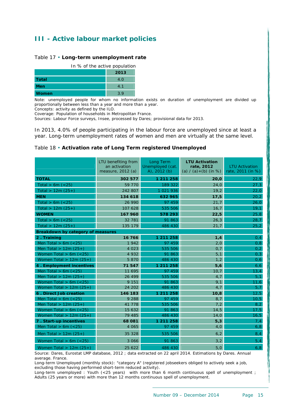# <span id="page-15-0"></span>**III - Active labour market policies**

#### <span id="page-15-1"></span>Table 17 • **Long-term unemployment rate**

|              | In % of the active population |  |  |  |  |  |  |
|--------------|-------------------------------|--|--|--|--|--|--|
|              | 2013                          |  |  |  |  |  |  |
| <b>Total</b> | 4.O                           |  |  |  |  |  |  |
| Men          | 4.1                           |  |  |  |  |  |  |
| <b>Women</b> | 3.9                           |  |  |  |  |  |  |

Note: unemployed people for whom no information exists on duration of unemployment are divided up proportionally between less than a year and more than a year.

Concepts: activity as defined by the ILO.

Coverage: Population of households in Metropolitan France.

Sources: Labour Force surveys, Insee, processed by Dares; provisional data for 2013.

In 2013, 4.0% of people participating in the labour force are unemployed since at least a year. Long-term unemployment rates of women and men are virtually at the same level.

#### <span id="page-15-2"></span>Table 18 • **Activation rate of Long Term registered Unemployed**

|                                   | LTU benefiting from<br>an activation<br>measure, 2012 (a) | Long Term<br>Unemployed (cat.<br>A), $2012$ (b) | <b>LTU Activation</b><br>rate, 2012<br>(a) $/(a)+(b)$ (in %) | <b>LTU Activation</b><br>rate, 2011 (in %) |
|-----------------------------------|-----------------------------------------------------------|-------------------------------------------------|--------------------------------------------------------------|--------------------------------------------|
| <b>TOTAL</b>                      | 302 577                                                   | 1 211 258                                       | 20,0                                                         | 22,9                                       |
|                                   | 59 770                                                    | 189 322                                         |                                                              |                                            |
| Total $> 6m (< 25)$               |                                                           |                                                 | 24,0                                                         | 27,3                                       |
| Total > $12m(25+)$                | 242 807                                                   | 1 021 936                                       | 19,2                                                         | 22,0                                       |
| <b>MEN</b>                        | 134 618                                                   | 632 965                                         | 17,5                                                         | 20,2                                       |
| Total $> 6m (< 25)$               | 26 990                                                    | 97 459                                          | 21,7                                                         | 26,0                                       |
| Total > $12m(25+)$                | 107 628                                                   | 535 506                                         | 16,7                                                         | 19,1                                       |
| <b>WOMEN</b>                      | 167 960                                                   | 578 293                                         | 22,5                                                         | 25,8                                       |
| Total $> 6m (< 25)$               | 32 781                                                    | 91 863                                          | 26,3                                                         | 28,7                                       |
| Total $> 12m(25+)$                | 135 179                                                   | 486 430                                         | 21,7                                                         | 25,2                                       |
| Breakdown by category of measures |                                                           |                                                 |                                                              |                                            |
| 2. Training                       | 16 766                                                    | 1 211 258                                       | 1,4                                                          | 0,4                                        |
| Men Total > 6m $(<25)$            | 1942                                                      | 97 459                                          | 2,0                                                          | 0, 8                                       |
| Men Total > $12m(25+)$            | 4 0 2 3                                                   | 535 506                                         | 0,7                                                          | 0,2                                        |
| Women Total $> 6m$ (<25)          | 4 9 3 2                                                   | 91 863                                          | 5,1                                                          | 0,3                                        |
| Women Total > $12m(25+)$          | 5 8 7 0                                                   | 486 430                                         | 1,2                                                          | 0,6                                        |
| 4. Employment incentives          | 71547                                                     | 1 211 258                                       | 5,6                                                          | 6,6                                        |
| Men Total $> 6m (< 25)$           | 11 695                                                    | 97 459                                          | 10,7                                                         | 13,4                                       |
| Men Total > $12m(25+)$            | 26 499                                                    | 535 506                                         | 4,7                                                          | 5,1                                        |
| Women Total $> 6m$ (<25)          | 9 1 5 1                                                   | 91 863                                          | 9,1                                                          | 11,6                                       |
| Women Total > $12m(25+)$          | 24 202                                                    | 486 430                                         | 4,7                                                          | 5,7                                        |
| 6. Direct Job creation            | 146 183                                                   | 1 211 258                                       | 10,8                                                         | 12,5                                       |
| Men Total $> 6m (< 25)$           | 9 2 8 8                                                   | 97 459                                          | 8,7                                                          | 10,5                                       |
| Men Total > $12m(25+)$            | 41 778                                                    | 535 506                                         | 7,2                                                          | 8,2                                        |
| Women Total $> 6m$ (<25)          | 15 632                                                    | 91 863                                          | 14,5                                                         | 17,5                                       |
| Women Total > $12m(25+)$          | 79 485                                                    | 486 430                                         | 14,0                                                         | 16, 5                                      |
| 7. Start-up incentives            | 68 081                                                    | 1 211 258                                       | 5,3                                                          | 7,4                                        |
| Men Total $> 6m$ (<25)            | 4 0 6 5                                                   | 97 459                                          | 4,0                                                          | 6, 8                                       |
| Men Total > $12m(25+)$            | 35 328                                                    | 535 506                                         | 6, 2                                                         | 8,4                                        |
| Women Total $> 6m$ (<25)          | 3 0 6 6                                                   | 91 863                                          | 3,2                                                          | 5,4                                        |
| Women Total > $12m(25+)$          | 25 6 22                                                   | 486 430                                         | 5,0                                                          | 6, 8                                       |

Source: Dares, Eurostat LMP database, 2012 ; data extracted on 22 april 2014. Estimations by Dares. Annual average. France.

Long-term Unemployed (monthly stock): "category A" (registered jobseekers obliged to actively seek a job, excluding those having performed short-term reduced activity).

Long-term unemployed : Youth (<25 years) with more than 6 month continuous spell of unemployment ; Adults (25 years or more) with more than 12 months continuous spell of unemployment.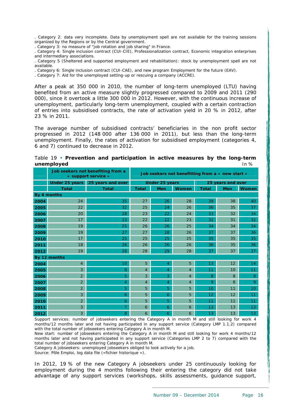. Category 2: data very incomplete. Data by unemployment spell are not available for the training sessions organized by the Regions or by the Central government.

. Category 3: no measure of "job rotation and job sharing" in France.

. Category 4: Single inclusion contract (CUI-CIE), Professionalization contract, Economic integration enterprises and intermediary associations.

. Category 5 (Sheltered and supported employment and rehabilitation): stock by unemployment spell are not available.

. Category 6: Single inclusion contract (CUI-CAE), and new program Employment for the future (EAV).

. Category 7: Aid for the unemployed setting-up or rescuing a company (ACCRE).

After a peak at 350 000 in 2010, the number of long-term unemployed (LTU) having benefited from an active measure slightly progressed compared to 2009 and 2011 (290 000), since it overtook a little 300 000 in 2012. However, with the continuous increase of unemployment, particularly long-term unemployment, coupled with a certain contraction of entries into subsidised contracts, the rate of activation yield in 20 % in 2012, after 23 % in 2011.

The average number of subsidised contracts' beneficiaries in the non profit sector progressed in 2012 (148 000 after 136 000 in 2011), but less than the long-term unemployment. Finally, the rates of activation for subsidised employment (categories 4, 6 and 7) continued to decrease in 2012.

|      | Job seekers not benefiting from a<br>« support service » | Job seekers not benefitting from a $\alpha$ new start $\alpha$ |                |                       |                |                   |            |              |  |
|------|----------------------------------------------------------|----------------------------------------------------------------|----------------|-----------------------|----------------|-------------------|------------|--------------|--|
|      |                                                          | Under 25 years 25 years and over                               |                | <b>Under 25 years</b> |                | 25 years and over |            |              |  |
|      | <b>Total</b>                                             | <b>Total</b>                                                   | <b>Total</b>   | <b>Men</b>            | <b>Women</b>   | <b>Total</b>      | <b>Men</b> | <b>Women</b> |  |
|      | By 4 months                                              |                                                                |                |                       |                |                   |            |              |  |
| 2004 | 24                                                       | 35                                                             | 27             | 26                    | 28             | 39                | 38         | 40           |  |
| 2005 | 22                                                       | 32                                                             | 25             | 24                    | 26             | 36                | 35         | 37           |  |
| 2006 | 20                                                       | 28                                                             | 23             | 22                    | 24             | 33                | 32         | 34           |  |
| 2007 | 17                                                       | 23                                                             | 22             | 22                    | 23             | 32                | 31         | 32           |  |
| 2008 | 19                                                       | 25                                                             | 26             | 26                    | 25             | 34                | 34         | 34           |  |
| 2009 | 19                                                       | 27                                                             | 27             | 28                    | 26             | 37                | 37         | 36           |  |
| 2010 | 17                                                       | 25                                                             | 25             | 25                    | 25             | 35                | 35         | 35           |  |
| 2011 | 18                                                       | 26                                                             | 26             | 26                    | 26             | 36                | 35         | 36           |  |
| 2012 | 19                                                       | 28                                                             | 28             | 29                    | 28             | 37                | 37         | 37           |  |
|      | By 12 months                                             |                                                                |                |                       |                |                   |            |              |  |
| 2004 | $\overline{4}$                                           | 10                                                             | 5              | $\overline{4}$        | 5              | 13                | 12         | 14           |  |
| 2005 | 3                                                        | 8                                                              | $\overline{4}$ | $\overline{4}$        | $\overline{4}$ | 11                | 10         | 11           |  |
| 2006 | $\overline{2}$                                           | 5                                                              | 3              | 3                     | $\overline{4}$ | 8                 | 8          | 9            |  |
| 2007 | $\overline{2}$                                           | 4                                                              | $\overline{4}$ | $\overline{4}$        | $\overline{4}$ | 9                 | 8          | 9            |  |
| 2008 | $\overline{2}$                                           | 5                                                              | 5              | 5                     | 5              | 10                | 11         | 10           |  |
| 2009 | 3                                                        | 6                                                              | 5              | 6                     | 5              | 12                | 12         | 11           |  |
| 2010 | $\overline{2}$                                           | 6                                                              | 5              | 5                     | 5              | 11                | 11         | 11           |  |
| 2011 | 3                                                        | 7                                                              | 6              | 6                     | 6              | 13                | 13         | 13           |  |
| 2012 | 3                                                        | 8                                                              | 6              | 6                     | 6              | 13                | 13         | 13           |  |

<span id="page-16-0"></span>

| Table 19 • Prevention and participation in active measures by the long-term |  |  |  |        |
|-----------------------------------------------------------------------------|--|--|--|--------|
| unemployed                                                                  |  |  |  | In $%$ |

Support services: number of jobseekers entering the Category A in month M and still looking for work 4 months/12 months later and not having participated in any support service (Category LMP 1.1.2) compared with the total number of jobseekers entering Category A in month M.

New start: number of jobseekers entering the Category A in month M and still looking for work 4 months/12 months later and not having participated in any support service (Categories LMP 2 to 7) compared with the total number of jobseekers entering Category A in month M.

Category A jobseekers: unemployed jobseekers obliged to look actively for a job.

Source: Pôle Emploi, log data file («fichier historique »).

In 2012, 19 % of the new Category A jobseekers under 25 continuously looking for employment during the 4 months following their entering the category did not take advantage of any support services (workshops, skills assessments, guidance support,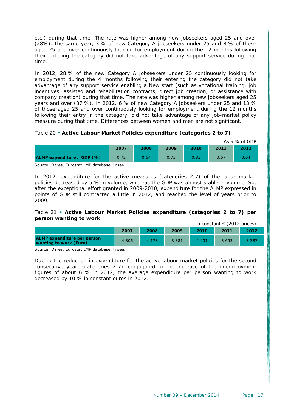etc.) during that time. The rate was higher among new jobseekers aged 25 and over (28%). The same year, 3 % of new Category A jobseekers under 25 and 8 % of those aged 25 and over continuously looking for employment during the 12 months following their entering the category did not take advantage of any support service during that time.

In 2012, 28 % of the new Category A jobseekers under 25 continuously looking for employment during the 4 months following their entering the category did not take advantage of any support service enabling a New start (such as vocational training, job incentives, assisted and rehabilitation contracts, direct job creation, or assistance with company creation) during that time. The rate was higher among new jobseekers aged 25 years and over (37 %). In 2012, 6 % of new Category A jobseekers under 25 and 13 % of those aged 25 and over continuously looking for employment during the 12 months following their entry in the category, did not take advantage of any job-market policy measure during that time. Differences between women and men are not significant.

#### <span id="page-17-0"></span>Table 20 • **Active Labour Market Policies expenditure (categories 2 to 7)**

|                            |      |      |      |      |      | As a % of GDP |
|----------------------------|------|------|------|------|------|---------------|
|                            | 2007 | 2008 | 2009 | 2010 | 2011 | 2012          |
| ALMP expenditure / GDP (%) | 0.72 | 0.64 | 0.73 | 0.83 | 0.67 | 0.64          |

Source: Dares, Eurostat LMP database, Insee.

In 2012, expenditure for the active measures (categories 2-7) of the labor market policies decreased by 5 % in volume, whereas the GDP was almost stable in volume. So, after the exceptional effort granted in 2009-2010, expenditure for the ALMP expressed in points of GDP still contracted a little in 2012, and reached the level of years prior to 2009.

#### <span id="page-17-1"></span>Table 21 • **Active Labour Market Policies expenditure (categories 2 to 7) per person wanting to work** In constant  $E(2012 \text{ price})$

|                                                              |         |         |      |         | ITT CONSTANTLY CALCULATED INCCST |         |
|--------------------------------------------------------------|---------|---------|------|---------|----------------------------------|---------|
|                                                              | 2007    | 2008    | 2009 | 2010    | 2011                             | 2012    |
| <b>ALMP</b> expenditure per person<br>wanting to work (Euro) | 4 3 0 6 | 4 1 7 8 | 3881 | 4 4 3 1 | 3 6 9 3                          | 3 3 8 7 |

Source: Dares, Eurostat LMP database, Insee.

Due to the reduction in expenditure for the active labour market policies for the second consecutive year, (categories 2-7), conjugated to the increase of the unemployment figures of about 6 % in 2012, the average expenditure per person wanting to work decreased by 10 % in constant euros in 2012.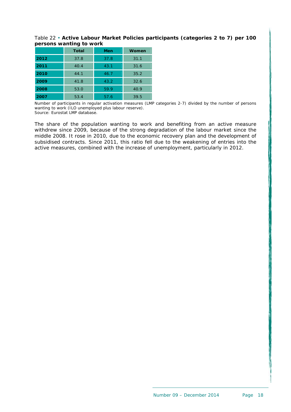Table 22 • **Active Labour Market Policies participants (categories 2 to 7) per 100 persons wanting to work** 

|      | <b>Total</b> | Men  | <b>Women</b> |
|------|--------------|------|--------------|
| 2012 | 37.8         | 37.8 | 31.1         |
| 2011 | 40.4         | 43.1 | 31.6         |
| 2010 | 44.1         | 46.7 | 35.2         |
| 2009 | 41.8         | 43.2 | 32.6         |
| 2008 | 53.0         | 59.9 | 40.9         |
| 2007 | 53.4         | 57.6 | 39.5         |

Number of participants in regular activation measures (LMP categories 2-7) divided by the number of persons wanting to work (ILO unemployed plus labour reserve). Source: Eurostat LMP database.

<span id="page-18-0"></span>The share of the population wanting to work and benefiting from an active measure withdrew since 2009, because of the strong degradation of the labour market since the middle 2008. It rose in 2010, due to the economic recovery plan and the development of subsidised contracts. Since 2011, this ratio fell due to the weakening of entries into the active measures, combined with the increase of unemployment, particularly in 2012.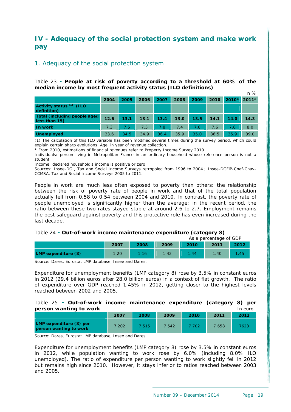# <span id="page-19-0"></span>**IV - Adequacy of the social protection system and make work pay**

## 1. Adequacy of the social protection system

<span id="page-19-1"></span>Table 23 • **People at risk of poverty according to a threshold at 60% of the median income by most frequent activity status (ILO definitions)**   $In 0/$ 

|                                                    |      |      |      |      |      |      |      |             | 11170 |
|----------------------------------------------------|------|------|------|------|------|------|------|-------------|-------|
|                                                    | 2004 | 2005 | 2006 | 2007 | 2008 | 2009 | 2010 | 2010* 2011* |       |
| Activity status <sup>(1)</sup> (ILO<br>definition) |      |      |      |      |      |      |      |             |       |
| Total (including people aged<br>less than 15)      | 12.6 | 13.1 | 13.1 | 13.4 | 13.0 | 13.5 | 14.1 | 14.0        | 14.3  |
| In work                                            | 7.3  | 7.5  | 7.5  | 7.8  | 7.4  | 7.6  | 7.6  | 7.6         | 8.0   |
| <b>Unemployed</b>                                  | 33.6 | 34.5 | 34.9 | 36.4 | 35.9 | 35.0 | 36.5 | 35.9        | 39.0  |

(1) The calculation of this ILO variable has been modified several times during the survey period, which could explain certain sharp evolutions. Age in year of revenue collection.

\* From 2010, estimations of financial revenues refer to Property Income Survey 2010 .

Individuals: person living in Metropolitan France in an ordinary household whose reference person is not a student.

Income: declared household's income is positive or zero.

Sources: Insee-DGI, Tax and Social Income Surveys retropoled from 1996 to 2004 ; Insee-DGFiP-Cnaf-Cnav-CCMSA, Tax and Social Income Surveys 2005 to 2011.

People in work are much less often exposed to poverty than others: the relationship between the risk of poverty rate of people in work and that of the total population actually fell from 0.58 to 0.54 between 2004 and 2010. In contrast, the poverty rate of people unemployed is significantly higher than the average: in the recent period, the ratio between these two rates stayed stable at around 2.6 to 2.7. Employment remains the best safeguard against poverty and this protective role has even increased during the last decade.

## Table 24 • **Out-of-work income maintenance expenditure (category 8)**

<span id="page-19-2"></span>As a percentage of GDP **2007 2008 2009 2010 2011 2012** 

**LMP expenditure (8) 1.20 1.16 1.42 1.44 1.40 1.45** 

Source: Dares, Eurostat LMP database, Insee and Dares.

Expenditure for unemployment benefits (LMP category 8) rose by 3.5% in constant euros in 2012 (29.4 billion euros after 28.0 billion euros) in a context of flat growth. The ratio of expenditure over GDP reached 1.45% in 2012, getting closer to the highest levels reached between 2002 and 2005.

#### <span id="page-19-3"></span>Table 25 • **Out-of-work income maintenance expenditure (category 8) per person wanting to work Integral Control Control Control Control Control Control Control Control Control Control Control Control Control Control Control Control Control Control Control Control Control Control Control Con**

| --                                                |      |       |        |      |       |      |
|---------------------------------------------------|------|-------|--------|------|-------|------|
|                                                   | 2007 | 2008  | 2009   | 2010 | 2011  | 2012 |
| LMP expenditure (8) per<br>person wanting to work | 202  | ' 515 | 7 542. | 702  | 7 658 | 7623 |

Source: Dares, Eurostat LMP database, Insee and Dares.

Expenditure for unemployment benefits (LMP category 8) rose by 3.5% in constant euros in 2012, while population wanting to work rose by 6.0% (including 8.0% ILO unemployed). The ratio of expenditure per person wanting to work slightly fell in 2012 but remains high since 2010. However, it stays inferior to ratios reached between 2003 and 2005.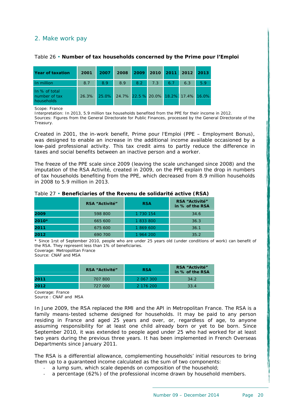## 2. Make work pay

| <b>Year of taxation</b>                      | 2001  | 2007  | 2008 | 2009                                 |     |     | 2010 2011 2012 2013 |     |
|----------------------------------------------|-------|-------|------|--------------------------------------|-----|-----|---------------------|-----|
| In million                                   | 8.7   | 8.9   | 8.9  | 8.2                                  | 7.3 | 6.7 | 6.3                 | 5.9 |
| In % of total<br>number of tax<br>households | 26.3% | 25.0% |      | 24.7% 22.5 % 20.0% 18.2% 17.4% 16.0% |     |     |                     |     |

#### <span id="page-20-1"></span>Table 26 • **Number of tax households concerned by the Prime pour l'Emploi**

Scope: France

Interpretation: In 2013, 5.9 million tax households benefited from the PPE for their income in 2012. Sources: Figures from the General Directorate for Public Finances, processed by the General Directorate of the Treasury.

Created in 2001, the in-work benefit, Prime pour l'Emploi (PPE – Employment Bonus), was designed to enable an increase in the additional income available occasioned by a low-paid professional activity. This tax credit aims to partly reduce the difference in taxes and social benefits between an inactive person and a worker.

The freeze of the PPE scale since 2009 (leaving the scale unchanged since 2008) and the imputation of the RSA Activité, created in 2009, on the PPE explain the drop in numbers of tax households benefiting from the PPE, which decreased from 8.9 million households in 2008 to 5.9 million in 2013.

<span id="page-20-2"></span>

| Table 27 • Beneficiaries of the Revenu de solidarité active (RSA) |  |
|-------------------------------------------------------------------|--|
|                                                                   |  |

|       | <b>RSA "Activité"</b> | <b>RSA</b> | <b>RSA "Activité"</b><br>in % of the RSA |  |  |
|-------|-----------------------|------------|------------------------------------------|--|--|
| 2009  | 598 800               | 1 730 154  | 34.6                                     |  |  |
| 2010* | 665 600               | 1833800    | 36.3                                     |  |  |
| 2011  | 675 600               | 1 869 600  | 36.1                                     |  |  |
| 2012  | 690 700               | 1 964 200  | 35.2                                     |  |  |

\* Since 1rst of September 2010, people who are under 25 years old (under conditions of work) can benefit of the RSA. They represent less than 1% of beneficiaries.

Coverage: Metropolitan France

Source: CNAF and MSA

|      | <b>RSA "Activité"</b> | <b>RSA</b> | <b>RSA "Activité"</b><br>in % of the RSA |  |  |
|------|-----------------------|------------|------------------------------------------|--|--|
| 2011 | 707 800               | 2 067 300  | 34.2                                     |  |  |
| 2012 | 727 000               | 2 176 200  | 33.4                                     |  |  |

Coverage: France Source: CNAF and MSA

In June 2009, the RSA replaced the RMI and the API in Metropolitan France. The RSA is a family means-tested scheme designed for households. It may be paid to any person residing in France and aged 25 years and over, or, regardless of age, to anyone assuming responsibility for at least one child already born or yet to be born. Since September 2010, it was extended to people aged under 25 who had worked for at least two years during the previous three years. It has been implemented in French Overseas Departments since January 2011.

<span id="page-20-0"></span>The RSA is a differential allowance, complementing households' initial resources to bring them up to a guaranteed income calculated as the sum of two components:

- ‐ a lump sum, which scale depends on composition of the household;
- a percentage (62%) of the professional income drawn by household members.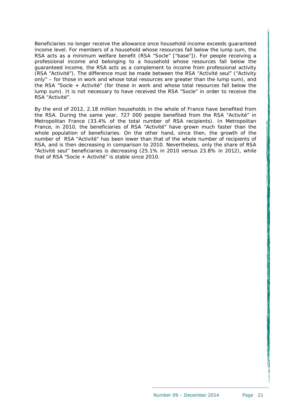Beneficiaries no longer receive the allowance once household income exceeds guaranteed income level. For members of a household whose resources fall below the lump sum, the RSA acts as a minimum welfare benefit (RSA "Socle" ["base"]). For people receiving a professional income and belonging to a household whose resources fall below the guaranteed income, the RSA acts as a complement to income from professional activity (RSA "Activité"). The difference must be made between the RSA "Activité seul" ("Activity only" – for those in work and whose total resources are greater than the lump sum), and the RSA "Socle + Activité" (for those in work and whose total resources fall below the lump sum). It is not necessary to have received the RSA "Socle" in order to receive the RSA "Activité".

By the end of 2012, 2.18 million households in the whole of France have benefited from the RSA. During the same year, 727 000 people benefited from the RSA "Activité" in Metropolitan France (33.4% of the total number of RSA recipients). In Metropolitan France, in 2010, the beneficiaries of RSA "Activité" have grown much faster than the whole population of beneficiaries. On the other hand, since then, the growth of the number of RSA "Activité" has been lower than that of the whole number of recipients of RSA, and is then decreasing in comparison to 2010. Nevertheless, only the share of RSA "Activité seul" beneficiaries is decreasing (25.1% in 2010 versus 23.8% in 2012), while that of RSA "Socle + Activité" is stable since 2010.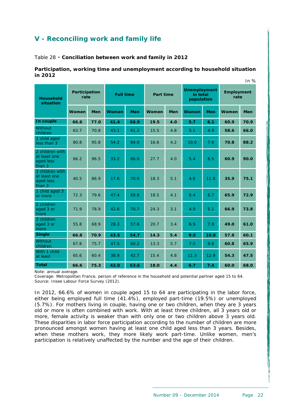# <span id="page-22-0"></span>**V - Reconciling work and family life**

<span id="page-22-1"></span>Table 28 • **Conciliation between work and family in 2012** 

#### **Participation, working time and unemployment according to household situation in 2012**   $\sim$

|                                                        |              |            |                  |            |                  |            |                                               |            |                           | In $\%$    |
|--------------------------------------------------------|--------------|------------|------------------|------------|------------------|------------|-----------------------------------------------|------------|---------------------------|------------|
| Participation<br>rate<br><b>Household</b><br>situation |              |            | <b>Full time</b> |            | <b>Part time</b> |            | <b>Unemployment</b><br>in total<br>population |            | <b>Employment</b><br>rate |            |
|                                                        | <b>Women</b> | <b>Men</b> | Women            | <b>Men</b> | <b>Women</b>     | <b>Men</b> | Women                                         | <b>Men</b> | Women                     | <b>Men</b> |
| In couple                                              | 66.6         | 77.0       | 41.4             | 66.9       | 19.5             | 4.0        | 5.7                                           | 6.1        | 60.9                      | 70.9       |
| Without<br>children                                    | 63.7         | 70.8       | 43.1             | 61.2       | 15.5             | 4.8        | 5.1                                           | 4.9        | 58.6                      | 66.0       |
| 1 child aged<br>less than 3                            | 80.8         | 95.8       | 54.2             | 84.0       | 16.6             | 4.2        | 10.0                                          | 7.6        | 70.8                      | 88.2       |
| 2 children with<br>at least one<br>aged less<br>than 3 | 66.2         | 96.5       | 33.2             | 86.0       | 27.7             | 4.0        | 5.4                                           | 6.5        | 60.9                      | 90.0       |
| 3 children with<br>at least one<br>aged less<br>than 3 | 40.5         | 86.9       | 17.6             | 70.0       | 18.3             | 5.1        | 4.6                                           | 11.8       | 35.9                      | 75.1       |
| 1 child aged 3<br>or more                              | 72.3         | 79.6       | 47.4             | 68.8       | 18.5             | 4.1        | 6.4                                           | 6.7        | 65.9                      | 72.9       |
| 2 children<br>aged 3 or<br>more                        | 71.9         | 78.9       | 42.6             | 70.7       | 24.3             | 3.1        | 4.9                                           | 5.1        | 66.9                      | 73.8       |
| 3 children<br>aged 3 or<br>more                        | 55.8         | 68.9       | 28.3             | 57.6       | 20.7             | 3.4        | 6.9                                           | 7.9        | 49.0                      | 61.0       |
| <b>Single</b>                                          | 66.8         | 70.9       | 43.5             | 54.7       | 14.3             | 5.4        | 9.0                                           | 10.8       | 57.8                      | 60.1       |
| Without<br>children                                    | 67.8         | 75.7       | 47.5             | 60.2       | 13.3             | 5.7        | 7.0                                           | 9.8        | 60.8                      | 65.9       |
| With 1 child<br>at least                               | 65.6         | 60.4       | 38.9             | 42.7       | 15.4             | 4.8        | 11.3                                          | 12.9       | 54.3                      | 47.5       |
| <b>Total</b>                                           | 66.6         | 75.3       | 42.0             | 63.6       | 18.0             | 4.4        | 6.7                                           | 7.4        | 60.0                      | 68.0       |

Note: annual average.

Coverage: Metropolitan France, person of reference in the household and potential partner aged 15 to 64. Source: Insee Labour Force Survey (2012).

In 2012, 66.6% of women in couple aged 15 to 64 are participating in the labor force, either being employed full time (41.4%), employed part-time (19.5%) or unemployed (5.7%). For mothers living in couple, having one or two children, when they are 3 years old or more is often combined with work. With at least three children, all 3 years old or more, female activity is weaker than with only one or two children above 3 years old. These disparities in labor force participation according to the number of children are more pronounced amongst women having at least one child aged less than 3 years. Besides, when these mothers work, they more likely work part-time. Unlike women, men's participation is relatively unaffected by the number and the age of their children.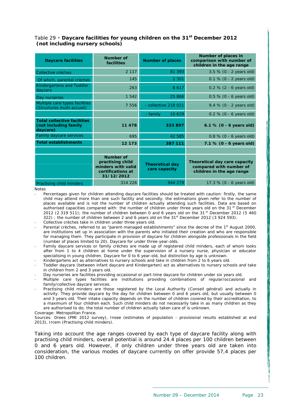## <span id="page-23-0"></span>Table 29 • **Daycare facilities for young children on the 31st December 2012 (not including nursery schools)**

| <b>Daycare facilities</b>                                               | <b>Number of</b><br>facilities                                                                | <b>Number of places</b>                 | Number of places in<br>comparison with number of<br>children in the age range         |
|-------------------------------------------------------------------------|-----------------------------------------------------------------------------------------------|-----------------------------------------|---------------------------------------------------------------------------------------|
| Collective crèches                                                      | 2 1 1 7                                                                                       | 81 393                                  | $3.5 \% (0 - 2 \text{ years old})$                                                    |
| Of which, parental crèches                                              | 145                                                                                           | 2 3 0 1                                 | $0.1 \% (0 - 2 \text{ years old})$                                                    |
| <b>Kindergartens and Toddler</b><br>davcare                             | 263                                                                                           | 8617                                    | $0.2 \% (2 - 6 \text{ years old})$                                                    |
| Day nurseries                                                           | 1 5 4 2                                                                                       | 25 866                                  | $0.5 \% (0 - 6 \text{ years old})$                                                    |
| Multiple care types facilities<br>(Structures multi-accueil)            | 7 556                                                                                         | - collective 218 021                    | 9.4 % (0 - 2 years old)                                                               |
|                                                                         |                                                                                               | 10 629<br>- family                      | $0.2 \% (0 - 6 \text{ years old})$                                                    |
| <b>Total collective facilities</b><br>(not including family<br>daycare) | 11 478                                                                                        | 333 897                                 | 6.1 % $(0 - 6$ years old)                                                             |
| Family daycare services                                                 | 695                                                                                           | 42 585                                  | $0.8\%$ (0 - 6 years old)                                                             |
| <b>Total establishments</b>                                             | 12 173                                                                                        | 387 111                                 | $7.1 \% (0 - 6 \text{ years old})$                                                    |
|                                                                         |                                                                                               |                                         |                                                                                       |
|                                                                         | <b>Number of</b><br>practising child<br>minders with valid<br>certifications at<br>31/12/2012 | <b>Theoretical day</b><br>care capacity | Theoretical day care capacity<br>compared with number of<br>children in the age range |
| Practising child minders                                                | 314 226                                                                                       | 944 279                                 | 17.3 % (0 - 6 years old)                                                              |

**Notes** 

- Percentages given for children attending daycare facilities should be treated with caution: firstly, the same child may attend more than one such facility and secondly, the estimations given refer to the number of places available and is not the number of children actually attending such facilities. Data are based on authorised capacities compared with: the number of children under three years old on the 31<sup>st</sup> December 2012 (2 319 511); the number of children between 0 and 6 years old on the 31<sup>st</sup> December 2012 (5 460 322) ; the number of children between 2 and 6 years old on the 31<sup>st</sup> December 2012 (3 924 593).
- ‐ Collective crèches take in children under three years old.
- Parental crèches, referred to as "parent-managed establishments" since the decree of the 1<sup>st</sup> August 2000, are institutions set up in association with the parents who initiated their creation and who are responsible for managing them. They participate in provision of daycare for children alongside professionals in the field (number of places limited to 20). Daycare for under three-year-olds.
- Family daycare services or family crèches are made up of registered child minders, each of whom looks after from 1 to 4 children at home under the supervision of a nursery nurse, physician or educator specialising in young children. Daycare for 0 to 6 year-old, but distinction by age is unknown.
- Kindergartens act as alternatives to nursery schools and take in children from 2 to 6 years old.
- ‐ Toddler daycare (between infant daycare and Kindergarten) act as alternatives to nursery schools and take in children from 2 and 3 years old.
- ‐ Day nurseries are facilities providing occasional or part-time daycare for children under six years old.
- ‐ Multiple care types facilities are institutions providing combinations of regular/occasional and family/collective daycare services.
- ‐ Practising child minders are those registered by the Local Authority (Conseil général) and actually in activity. They provide daycare by the day for children between 0 and 6 years old, but usually between 0 and 3 years old. Their intake capacity depends on the number of children covered by their accreditation, to a maximum of four children each. Such child minders do not necessarily take in as many children as they are authorised to do; the total number of children actually taken care of is unknown.

Coverage: Metropolitan France.

Sources: Drees (PMI 2012 survey), Insee (estimates of population - provisional results established at end 2013), Ircem (Practising child minders).

Taking into account the age ranges covered by each type of daycare facility along with practising child minders, overall potential is around 24.4 places per 100 children between 0 and 6 years old. However, if only children under three years old are taken into consideration, the various modes of daycare currently on offer provide 57,4 places per 100 children.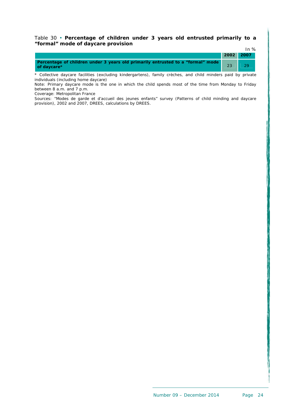#### Table 30 • **Percentage of children under 3 years old entrusted primarily to a "formal" mode of daycare provision**  $In 9/2$

|                                                                                                |           | $\mathsf{H}$ $\mathcal{A}$ |
|------------------------------------------------------------------------------------------------|-----------|----------------------------|
|                                                                                                | 2002 2007 |                            |
| Percentage of children under 3 years old primarily entrusted to a "formal" mode<br>of davcare* | 23        |                            |

\* Collective daycare facilities (excluding kindergartens), family crèches, and child minders paid by private individuals (including home daycare)

Note: Primary daycare mode is the one in which the child spends most of the time from Monday to Friday between 8 a.m. and 7 p.m.

Coverage: Metropolitan France

Sources: "Modes de garde et d'accueil des jeunes enfants" survey (Patterns of child minding and daycare provision), 2002 and 2007, DREES, calculations by DREES.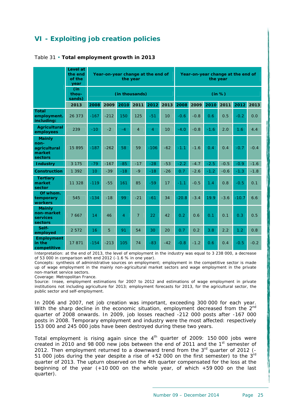# <span id="page-25-0"></span>**VI - Exploiting job creation policies**

|                                                            | Level at<br>the end<br>of the<br>year |        | Year-on-year change at the end of<br>the year |                |                |                |                 |         |        | the year |        | Year-on-year change at the end of |        |
|------------------------------------------------------------|---------------------------------------|--------|-----------------------------------------------|----------------|----------------|----------------|-----------------|---------|--------|----------|--------|-----------------------------------|--------|
|                                                            | (in<br>thou-<br>sands)                |        |                                               |                | (in thousands) |                |                 | (in %)  |        |          |        |                                   |        |
|                                                            | 2013                                  | 2008   | 2009                                          | 2010           | 2011           | 2012           | 2013            | 2008    | 2009   | 2010     | 2011   | 2012                              | 2013   |
| <b>Total</b><br>employment.<br>including:                  | 26 373                                | $-167$ | $-212$                                        | 150            | 125            | $-51$          | 10              | $-0.6$  | $-0.8$ | 0.6      | 0.5    | $-0.2$                            | 0.0    |
| <b>Agricultural</b><br>employees                           | 239                                   | $-10$  | $-2$                                          | $-4$           | $\overline{4}$ | $\overline{4}$ | 10 <sup>1</sup> | $-4.0$  | $-0.8$ | $-1.6$   | 2.0    | 1.6                               | 4.4    |
| <b>Mainly</b><br>non-<br>agricultural<br>market<br>sectors | 15895                                 | $-187$ | $-262$                                        | 58             | 59             | $-106$         | $-62$           | $-1.1$  | $-1.6$ | 0.4      | 0.4    | $-0.7$                            | $-0.4$ |
| <b>Industry</b>                                            | 3 1 7 5                               | $-79$  | $-167$                                        | $-85$          | $-17$          | $-28$          | $-53$           | $-2.2$  | $-4.7$ | $-2.5$   | $-0.5$ | $-0.9$                            | $-1.6$ |
| <b>Construction</b>                                        | 1 3 9 2                               | 10     | $-39$                                         | $-18$          | $-9$           | $-18$          | $-26$           | 0.7     | $-2.6$ | $-1.2$   | $-0.6$ | $-1.3$                            | $-1.8$ |
| <b>Tertiary</b><br>market<br>sector                        | 11 328                                | $-119$ | $-55$                                         | 161            | 85             | $-59$          | 17              | $-1.1$  | $-0.5$ | 1.4      | 0.8    | $-0.5$                            | 0.1    |
| Of whom.<br>temporary<br>workers                           | 545                                   | $-134$ | $-18$                                         | 99             | $-21$          | $-61$          | 34              | $-20.8$ | $-3.4$ | 19.9     | $-3.6$ | $-10.7$                           | 6.6    |
| <b>Mainly</b><br>non-market<br>services<br>sectors         | 7 6 6 7                               | 14     | 46                                            | $\overline{A}$ | $\overline{7}$ | 22             | 42              | 0.2     | 0.6    | 0.1      | 0.1    | 0.3                               | 0.5    |
| Self-<br>employed                                          | 2 5 7 2                               | 16     | 5                                             | 91             | 54             | 30             | 20              | 0.7     | 0.2    | 3.8      | 2.2    | 1.2                               | 0.8    |
| <b>Employment</b><br>in the<br>competitive                 | 17871                                 | $-154$ | $-213$                                        | 105            | 74             | $-83$          | $-42$           | $-0.8$  | $-1.2$ | 0.6      | 0.4    | $-0.5$                            | $-0.2$ |

## <span id="page-25-1"></span>Table 31 • **Total employment growth in 2013**

Interpretation: at the end of 2013, the level of employment in the industry was equal to 3 238 000, a decrease of 53 000 in comparison with end 2012 (-1.6 % in one year).

Concepts: synthesis of administrative sources on employment; employment in the competitive sector is made up of wage employment in the mainly non-agricultural market sectors and wage employment in the private non-market service sectors.

Coverage: Metropolitan France.

Source: Insee, employment estimations for 2007 to 2012 and estimations of wage employment in private institutions not including agriculture for 2013; employment forecasts for 2013, for the agricultural sector, the public sector and self-employment.

In 2006 and 2007, net job creation was important, exceeding 300 000 for each year. With the sharp decline in the economic situation, employment decreased from the 2<sup>nd</sup> quarter of 2008 onwards. In 2009, job losses reached -212 000 posts after -167 000 posts in 2008. Temporary employment and industry were the most affected: respectively 153 000 and 245 000 jobs have been destroyed during these two years.

Total employment is rising again since the  $4<sup>th</sup>$  quarter of 2009: 150 000 jobs were created in 2010 and 98 000 new jobs between the end of 2011 and the  $1<sup>st</sup>$  semester of 2012. Then employment returned to a downward trend from the 3<sup>rd</sup> quarter of 2012 (-51 000 jobs during the year despite a rise of  $+52$  000 on the first semester) to the  $3<sup>rd</sup>$ quarter of 2013. The upturn observed on the 4th quarter compensated for the loss at the beginning of the year (+10 000 on the whole year, of which +59 000 on the last quarter).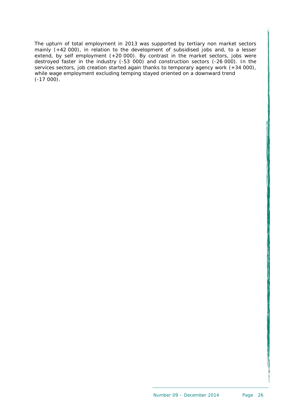The upturn of total employment in 2013 was supported by tertiary non market sectors mainly (+42 000), in relation to the development of subsidised jobs and, to a lesser extend, by self employment (+20 000). By contrast in the market sectors, jobs were destroyed faster in the industry (-53 000) and construction sectors (-26 000). In the services sectors, job creation started again thanks to temporary agency work (+34 000), while wage employment excluding temping stayed oriented on a downward trend  $(-17000)$ .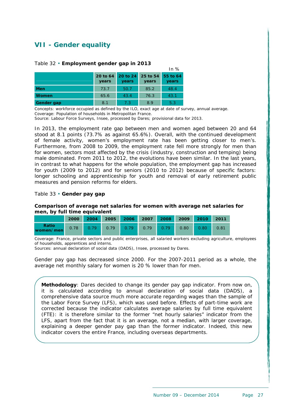# <span id="page-27-0"></span>**VII - Gender equality**

#### <span id="page-27-1"></span>Table 32 • **Employment gender gap in 2013**

|            |                   |                            |       | $III$ 70          |
|------------|-------------------|----------------------------|-------|-------------------|
|            | 20 to 64<br>years | 20 to 24 25 to 54<br>years | years | 55 to 64<br>years |
| <b>Men</b> | 73.7              | 50.7                       | 85.2  | 48.4              |
| Women      | 65.6              | 43.4                       | 76.3  | 43.1              |
| Gender gap | 8.1               | 7.3                        | 8.9   | 5.3               |

Concepts: workforce occupied as defined by the ILO, exact age at date of survey, annual average. Coverage: Population of households in Metropolitan France.

Source: Labour Force Surveys, Insee, processed by Dares; provisional data for 2013.

In 2013, the employment rate gap between men and women aged between 20 and 64 stood at 8.1 points (73.7% as against 65.6%). Overall, with the continued development of female activity, women's employment rate has been getting closer to men's. Furthermore, from 2008 to 2009, the employment rate fell more strongly for men than for women, sectors most affected by the crisis (industry, construction and temping) being male dominated. From 2011 to 2012, the evolutions have been similar. In the last years, in contrast to what happens for the whole population, the employment gap has increased for youth (2009 to 2012) and for seniors (2010 to 2012) because of specific factors: longer schooling and apprenticeship for youth and removal of early retirement public measures and pension reforms for elders.

 $I = 0$ 

#### <span id="page-27-2"></span>Table 33 • **Gender pay gap**

#### **Comparison of average net salaries for women with average net salaries for men, by full time equivalent**

|                    | 2000 | 2004 2005 2006 2007 |      |      |      |      |      | 2008 2009 2010 2011 |      |
|--------------------|------|---------------------|------|------|------|------|------|---------------------|------|
| Ratio<br>women/men | 0.78 | 0.79                | 0.79 | 0.79 | 0.79 | 0.79 | 0.80 | 0.80                | 0.81 |

Coverage: France, private sectors and public enterprises, all salaried workers excluding agriculture, employees of households, apprentices and interns.

Sources: annual declaration of social data (DADS), Insee, processed by Dares.

Gender pay gap has decreased since 2000. For the 2007-2011 period as a whole, the average net monthly salary for women is 20 % lower than for men.

**Methodology**: Dares decided to change its gender pay gap indicator. From now on, it is calculated according to annual declaration of social data (DADS), a comprehensive data source much more accurate regarding wages than the sample of the Labor Force Survey (LFS), which was used before. Effects of part-time work are corrected because the indicator calculates average salaries by full time equivalent (FTE): it is therefore similar to the former "net hourly salaries" indicator from the LFS, apart from the fact that it is an average, not a median, with larger coverage, explaining a deeper gender pay gap than the former indicator. Indeed, this new indicator covers the entire France, including overseas departments.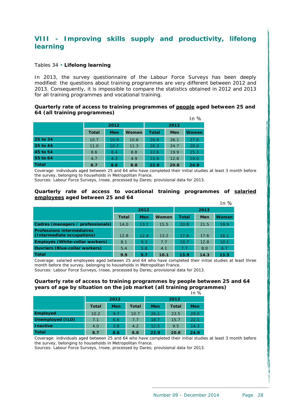# <span id="page-28-0"></span>**VIII - Improving skills supply and productivity, lifelong learning**

#### <span id="page-28-1"></span>Tables 34 • **Lifelong learning**

In 2013, the survey questionnaire of the Labour Force Surveys has been deeply modified: the questions about training programmes are very different between 2012 and 2013. Consequently, it is impossible to compare the statistics obtained in 2012 and 2013 for all training programmes and vocational training.

#### **Quarterly rate of access to training programmes of people aged between 25 and 64 (all training programmes)**   $\overline{a}$

|              |              |            |       |       |      | In $\%$      |  |  |
|--------------|--------------|------------|-------|-------|------|--------------|--|--|
|              |              | 2012       |       | 2013  |      |              |  |  |
|              | <b>Total</b> | <b>Men</b> | Women | Total | Men  | <b>Women</b> |  |  |
| 25 to 34     | 10.7         | 10.9       | 10.6  | 26.9  | 26.1 | 27.6         |  |  |
| 35 to 44     | 11.0         | 10.7       | 11.3  | 26.3  | 24.7 | 28.0         |  |  |
| 45 to 54     | 8.6          | 8.4        | 8.8   | 22.6  | 19.9 | 25.3         |  |  |
| 55 to 64     | 4.7          | 4.3        | 4.9   | 15.9  | 12.6 | 19.0         |  |  |
| <b>Total</b> | 8.7          | 8.6        | 8.8   | 22.9  | 20.8 | 24.9         |  |  |

Coverage: individuals aged between 25 and 64 who have completed their initial studies at least 3 month before the survey, belonging to households in Metropolitan France.

Sources: Labour Force Surveys, Insee, processed by Dares; provisional data for 2013.

#### **Quarterly rate of access to vocational training programmes of salaried employees aged between 25 and 64**   $In 94$

|                                                                 |              |            |       |              |            | 11170        |  |  |
|-----------------------------------------------------------------|--------------|------------|-------|--------------|------------|--------------|--|--|
|                                                                 |              | 2012       |       | 2013         |            |              |  |  |
|                                                                 | <b>Total</b> | <b>Men</b> | Women | <b>Total</b> | <b>Men</b> | <b>Women</b> |  |  |
| Cadres (managers / professionals)                               | 14.0         | 13.1       | 15.5  | 20.8         | 21.5       | 19.9         |  |  |
| <b>Professions intermédiaires</b><br>(Intermediate occupations) | 12.8         | 12.4       | 13.2  | 17.8         | 17.6       | 18.1         |  |  |
| Employés (White-collar workers)                                 | 8.1          | 9.3        | 7.7   | 10.7         | 12.8       | 10.1         |  |  |
| <b>Ouvriers (Blue-collar workers)</b>                           | 5.4          | 5.8        | 4.1   | 7.7          | 8.0        | 6.7          |  |  |
| Total                                                           | 9.9          | 9.7        | 10.1  | 13.9         | 14.3       | 13.5         |  |  |

Coverage: salaried employees aged between 25 and 64 who have completed their initial studies at least three month before the survey, belonging to households in Metropolitan France.

Sources: Labour Force Surveys, Insee, processed by Dares; provisional data for 2013.

#### **Quarterly rate of access to training programmes by people between 25 and 64 years of age by situation on the job market (all training programmes)**   $\overline{1}$ n  $\overline{0}$

|                  |              |      |              |            |              | .    |  |  |
|------------------|--------------|------|--------------|------------|--------------|------|--|--|
|                  |              | 2012 |              | 2013       |              |      |  |  |
|                  | <b>Total</b> | Men  | <b>Total</b> | <b>Men</b> | <b>Total</b> | Men  |  |  |
| <b>Employed</b>  | 10.2         | 9.7  | 10.7         | 26.1       | 23.5         | 29.0 |  |  |
| Unemployed (ILO) | 7.1          | 6.6  | 7.7          | 18.7       | 15.7         | 22.1 |  |  |
| <b>Inactive</b>  | 4.0          | 3.8  | 4.2          | 12.5       | 9.5          | 14.3 |  |  |
| <b>Total</b>     | 8.7          | 8.6  | 8.8          | 22.9       | 20.8         | 24.9 |  |  |

Coverage: individuals aged between 25 and 64 who have completed their initial studies at least 3 month before the survey, belonging to households in Metropolitan France.

Sources: Labour Force Surveys, Insee, processed by Dares; provisional data for 2013.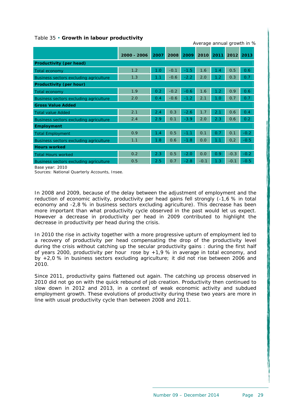#### Table 35 • **Growth in labour productivity**

|                                               |             |      |        |        | $\ldots$ . ago annual growth measure |            |        |        |
|-----------------------------------------------|-------------|------|--------|--------|--------------------------------------|------------|--------|--------|
|                                               | 2000 - 2006 | 2007 | 2008   | 2009   | 2010                                 | 2011       | 2012   | 2013   |
| Productivity (per head)                       |             |      |        |        |                                      |            |        |        |
| Total economy                                 | 1.2         | 1.0  | $-0.1$ | $-1.5$ | 1.6                                  | 1.4        | 0.5    | 0.6    |
| Business sectors excluding agriculture        | 1.3         | 1.1  | $-0.6$ | $-2.2$ | 2.0                                  | 1.2        | 0.3    | 0.7    |
| Productivity (per hour)                       |             |      |        |        |                                      |            |        |        |
| Total economy                                 | 1.9         | 0.2  | $-0.2$ | $-0.6$ | 1.6                                  | $\cdot$ .2 | 0.9    | 0.6    |
| <b>Business sectors excluding agriculture</b> | 2.0         | 0.4  | $-0.6$ | $-1.2$ | 2.1                                  | 1.0        | 0.7    | 0.7    |
| <b>Gross Value Added</b>                      |             |      |        |        |                                      |            |        |        |
| <b>Total value Added</b>                      | 2.1         | 2.4  | 0.3    | $-2.6$ | 1.7                                  | 2.1        | 0.6    | 0.4    |
| Business sectors excluding agriculture        | 2.4         | 2.9  | 0.1    | $-3.9$ | 2.0                                  | 2.3        | 0.6    | 0.2    |
| <b>Employment</b>                             |             |      |        |        |                                      |            |        |        |
| <b>Total Employment</b>                       | 0.9         | 1.4  | 0.5    | $-1.1$ | 0.1                                  | 0.7        | 0.1    | $-0.2$ |
| Business sectors excluding agriculture        | 1.1         | 1.8  | 0.6    | $-1.8$ | 0.0                                  | 1.1        | 0,2    | $-0.5$ |
| <b>Hours worked</b>                           |             |      |        |        |                                      |            |        |        |
| <b>Total Hours worked</b>                     | 0.2         | 2.3  | 0.5    | $-2.0$ | 0.0                                  | 0.9        | $-0.3$ | $-0.2$ |
| Business sectors excluding agriculture        | 0.5         | 2.5  | 0.7    | $-2.8$ | $-0.1$                               | 1.3        | $-0.1$ | $-0.5$ |

Base year: 2010

Sources: National Quarterly Accounts, Insee.

In 2008 and 2009, because of the delay between the adjustment of employment and the reduction of economic activity, productivity per head gains fell strongly (-1,6 % in total economy and -2,8 % in business sectors excluding agriculture). This decrease has been more important than what productivity cycle observed in the past would let us expect. However a decrease in productivity per head in 2009 contributed to highlight the decrease in productivity per head during the crisis.

In 2010 the rise in activity together with a more progressive upturn of employment led to a recovery of productivity per head compensating the drop of the productivity level during the crisis without catching up the secular productivity gains : during the first half of years 2000, productivity per hour rose by +1,9 % in average in total economy, and by +2,0 % in business sectors excluding agriculture; it did not rise between 2006 and 2010.

<span id="page-29-0"></span>Since 2011, productivity gains flattened out again. The catching up process observed in 2010 did not go on with the quick rebound of job creation. Productivity then continued to slow down in 2012 and 2013, in a context of weak economic activity and subdued employment growth. These evolutions of productivity during these two years are more in line with usual productivity cycle than between 2008 and 2011.

# Average annual growth in %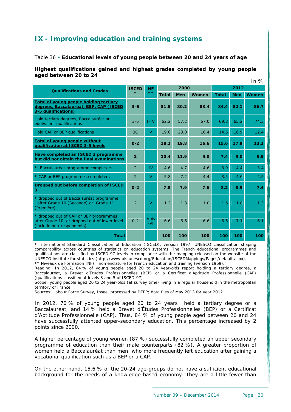## **IX - Improving education and training systems**

#### <span id="page-30-1"></span>Table 36 • **Educational levels of young people between 20 and 24 years of age**

#### **Highest qualifications gained and highest grades completed by young people aged between 20 to 24**   $In 0/$

|                                                                                                                      | 11170          |                      |              |            |       |              |            |              |  |  |
|----------------------------------------------------------------------------------------------------------------------|----------------|----------------------|--------------|------------|-------|--------------|------------|--------------|--|--|
| <b>Qualifications and Grades</b>                                                                                     | <b>ISCED</b>   | <b>NF</b>            |              | 2000       |       | 2012         |            |              |  |  |
|                                                                                                                      | $\star$        | $**$                 | <b>Total</b> | <b>Men</b> | Women | <b>Total</b> | <b>Men</b> | <b>Women</b> |  |  |
| Total of young people holding tertiary<br>degrees, Baccalauréat, BEP, CAP (ISCED<br>3-5 qualifications)              | $3 - 6$        |                      | 81.8         | 80.2       | 83.4  | 84.4         | 82.1       | 86.7         |  |  |
| Hold tertiary degrees, Baccalauréat or<br>equivalent qualifications                                                  | $3 - 6$        | $I-IV$               | 62.2         | 57.2       | 67.0  | 69.8         | 65.2       | 74.3         |  |  |
| Hold CAP or BEP qualifications                                                                                       | 3 <sub>C</sub> | V                    | 19.6         | 23.0       | 16.4  | 14.6         | 16.9       | 12.4         |  |  |
| <b>Total of young people without</b><br>gualification at ISCED 3-5 levels                                            | $0-2$          |                      | 18.2         | 19.8       | 16.6  | 15.6         | 17.9       | 13.3         |  |  |
| Have completed an ISCED 3 programme<br>but did not obtain the final examinations                                     | $\overline{2}$ |                      | 10.4         | 11.9       | 9.0   | 7.4          | 9.0        | 5.9          |  |  |
| Baccalauréat programme completers                                                                                    | $\overline{2}$ | IV                   | 4.6          | 4.7        | 4.6   | 3.9          | 4.4        | 3.4          |  |  |
| * CAP or BEP programmes completers                                                                                   | 2              | V                    | 5.8          | 7.2        | 4.4   | 3.5          | 4.6        | 2.5          |  |  |
| Dropped out before completion of ISCED<br>з                                                                          | $0-2$          |                      | 7.8          | 7.9        | 7.6   | 8.2          | 8.9        | 7.4          |  |  |
| * dropped out of Baccalauréat programme,<br>after Grade 10 (Seconde) or Grade 11<br>(Première)                       | $\overline{2}$ | V                    | 1.2          | 1.3        | 1.0   | 1.6          | 1.8        | 1.3          |  |  |
| * dropped out of CAP or BEP programmes<br>after Grade 10, or dropped out of lower level<br>(include non-respondents) | $0 - 2$        | <b>Vbis</b><br>$-VL$ | 6.6          | 6.6        | 6.6   | 6.6          | 7.1        | 6.1          |  |  |
| <b>Total</b>                                                                                                         |                |                      | 100          | 100        | 100   | 100          | 100        | 100          |  |  |

\* International Standard Classification of Education (ISCED), version 1997: UNESCO classification shaping comparability across countries of statistics on education systems. The French educational programmes and qualifications are classified by ISCED-97 levels in compliance with the mapping released on the website of the UNESCO institute for statistics (http://www.uis.unesco.org/Education/ISCEDMappings/Pages/default.aspx). \*\* Niveaux de Formation (NF): nomenclature for French education and training (version 1969).

Reading: In 2012, 84 % of young people aged 20 to 24 year-olds report holding a tertiary degree, a Baccalauréat, a Brevet d'Etudes Professionnelles (BEP) or a Certificat d'Aptitude Professionnelle (CAP) (qualifications classified at levels 3 and 5 of ISCED-97) .

Scope: young people aged 20 to 24 year-olds (at survey time) living in a regular household in the metropolitan territory of France.

Sources: Labour Force Survey, Insee, processed by DEPP; data files of May 2013 for year 2012.

In 2012, 70 % of young people aged 20 to 24 years held a tertiary degree or a Baccalauréat, and 14 % held a Brevet d'Études Professionnelles (BEP) or a Certificat d'Aptitude Professionnelle (CAP). Thus, 84 % of young people aged between 20 and 24 have successfully attented upper-secondary education. This percentage increased by 2 points since 2000.

A higher percentage of young women (87 %) successfully completed an upper secondary programme of education than their male counterparts (82 %). A greater proportion of women held a Baccalauréat than men, who more frequently left education after gaining a vocational qualification such as a BEP or a CAP.

<span id="page-30-0"></span>On the other hand, 15.6 % of the 20-24 age-groups do not have a sufficient educational background for the needs of a knowledge-based economy. They are a little fewer than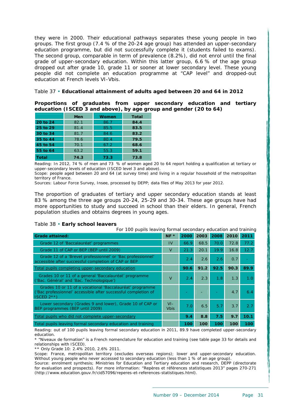they were in 2000. Their educational pathways separates these young people in two groups. The first group (7.4 % of the 20-24 age group) has attended an upper-secondary education programme, but did not successfully complete it (students failed to exams). The second group, comparable in term of prevalence (8.2%), did not enrol until the final grade of upper-secondary education. Within this latter group, 6.6 % of the age group dropped out after grade 10, grade 11 or sooner at lower secondary level. These young people did not complete an education programme at "CAP level" and dropped-out education at French levels VI-Vbis.

#### <span id="page-31-0"></span>Table 37 • **Educational attainment of adults aged between 20 and 64 in 2012**

**Proportions of graduates from upper secondary education and tertiary education (ISCED 3 and above), by age group and gender (20 to 64)** 

|              | Men  | <b>Women</b> | Total |
|--------------|------|--------------|-------|
| 20 to 24     | 82.1 | 86.7         | 84.4  |
| 25 to 29     | 81.4 | 85.5         | 83.5  |
| 30 to 34     | 81.7 | 84.6         | 83.2  |
| 35 to 44     | 78.6 | 80.4         | 79.5  |
| 45 to 54     | 70.1 | 67.2         | 68.6  |
| 55 to 64     | 63.2 | 55.3         | 59.1  |
| <b>Total</b> | 74.3 | 73.3         | 73.8  |

Reading: In 2012, 74 % of men and 73 % of women aged 20 to 64 report holding a qualification at tertiary or upper-secondary levels of education (ISCED level 3 and above).

Scope: people aged between 20 and 64 (at survey time) and living in a regular household of the metropolitan territory of France.

Sources: Labour Force Survey, Insee, processed by DEPP; data files of May 2013 for year 2012.

The proportion of graduates of tertiary and upper secondary education stands at least 83 % among the three age groups 20-24, 25-29 and 30-34. These age groups have had more opportunities to study and succeed in school than their elders. In general, French population studies and obtains degrees in young ages.

#### <span id="page-31-1"></span>Table 38 • **Early school leavers**

For 100 pupils leaving formal secondary education and training

| <b>Grade attained:</b>                                                                                                                     | $NF *$                | 2000 | 2003             | 2008 | 2010 | 2011 |
|--------------------------------------------------------------------------------------------------------------------------------------------|-----------------------|------|------------------|------|------|------|
| Grade 12 of 'Baccalauréat' programmes                                                                                                      | IV                    | 66.9 | 68.5             | 70.0 | 72.8 | 77.2 |
| Grade 11 of CAP or BEP (BEP until 2009)                                                                                                    | V                     | 21.3 | 20.1             | 19.9 | 16.8 | 12.7 |
| Grade 12 of a 'Brevet professionnel' or 'Bac professionnel'<br>accessible after successful completion of CAP or BEP                        |                       | 2.4  | 2.6              | 2.6  | 0.7  |      |
| Total pupils completing upper-secondary education                                                                                          |                       | 90.6 | 91.2             | 92.5 | 90.3 | 89.9 |
| Grades 10 or 11 of a general 'Baccalauréat' programme<br>('Bac. Général' and 'Bac. Technologique')                                         | $\vee$                | 2.4  | 2.3              | 1.8  | 1.3  | 1.0  |
| Grades 10 or 11 of a vocational 'Baccalauréat' programme<br>('Bac professionnel' accessible after successful completion of<br>$ISCED 2***$ |                       |      |                  |      | 4.7  | 6.4  |
| Lower secondary (Grades 9 and lower), Grade 10 of CAP or<br>BEP programmes (BEP until 2009)                                                | $VI -$<br><b>Vbis</b> | 7.0  | 6.5              | 5.7  | 3.7  | 2.7  |
| Total pupils who did not complete upper-secondary                                                                                          |                       | 9.4  | 8.8 <sub>1</sub> | 7.5  | 9.7  | 10.1 |
| Total pupils leaving formal secondary education and training                                                                               |                       | 100  | 100              | 100  | 100  | 100  |

Reading: out of 100 pupils leaving formal secondary education in 2011, 89.9 have completed upper-secondary education.

\* "Niveaux de formation" is a French nomenclature for education and training (see table page 33 for details and relationships with ISCED).

\*\* Only Grade 10: 2.4% 2010, 2.6% 2011.

Scope: France, metropolitan territory (excludes overseas regions); lower and upper-secondary education. Without young people who never accessed to secondary education (less than 1 % of an age group).

Source: enrolment synthesis; Ministries for Education and Tertiary education and research, DEPP (directorate for evaluation and prospects). For more information: "Repères et références statistiques 2013" pages 270-271 (http://www.education.gouv.fr/cid57096/reperes-et-references-statistiques.html).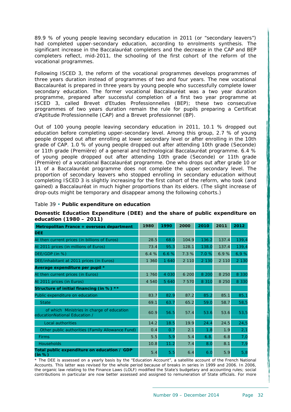89.9 % of young people leaving secondary education in 2011 (or "secondary leavers") had completed upper-secondary education, according to enrolments synthesis. The significant increase in the Baccalauréat completers and the decrease in the CAP and BEP completers reflect, mid-2011, the schooling of the first cohort of the reform of the vocational programmes.

Following ISCED 3, the reform of the vocational programmes develops programmes of three years duration instead of programmes of two and four years. The new vocational Baccalauréat is prepared in three years by young people who successfully complete lower secondary education. The former vocational Baccalauréat was a two year duration programme, prepared after successful completion of a first two year programme at ISCED 3, called Brevet d'Etudes Professionnelles (BEP); these two consecutive programmes of two years duration remain the rule for pupils preparing a Certificat d'Aptitude Professionnelle (CAP) and a Brevet professionnel (BP).

Out of 100 young people leaving secondary education in 2011, 10.1 % dropped out education before completing upper-secondary level. Among this group, 2.7 % of young people dropped out after enrolling at lower secondary level or after enrolling in the 10th grade of CAP. 1.0 % of young people dropped out after attending 10th grade (Seconde) or 11th grade (Première) of a general and technological Baccalauréat programme. 6.4 % of young people dropped out after attending 10th grade (Seconde) or 11th grade (Première) of a vocational Baccalauréat programme. One who drops out after grade 10 or 11 of a Baccalauréat programme does not complete the upper secondary level. The proportion of secondary leavers who stopped enrolling in secondary education without completing ISCED 3 is slightly increasing for the first cohort of the reform, who took (and gained) a Baccalauréat in much higher proportions than its elders. (The slight increase of drop-outs might be temporary and disappear among the following cohorts.)

#### <span id="page-32-0"></span>Table 39 • **Public expenditure on education**

#### **Domestic Education Expenditure (DEE) and the share of public expenditure on education (1980 – 2011)**

| Metropolitan France + overseas department                                   | 1980    | 1990    | 2000    | 2010    | 2011    | 2012    |
|-----------------------------------------------------------------------------|---------|---------|---------|---------|---------|---------|
| <b>DEE</b>                                                                  |         |         |         |         |         |         |
| At then current prices (in billions of Euros)                               | 28.5    | 68.0    | 104.9   | 136.2   | 137.4   | 139,4   |
| At 2011 prices (in millions of Euros)                                       | 73.4    | 95.3    | 128.1   | 138.0   | 137.4   | 139,4   |
| DEE/GDP (in %)                                                              | 6.4%    | 6.6%    | 7.3 %   | 7.0 %   | 6.9%    | 6,9%    |
| DEE/inhabitant at 2011 prices (in Euros)                                    | 1 360   | 1 640   | 2 1 1 0 | 2 1 3 0 | 2 1 1 0 | 2 1 3 0 |
| Average expenditure per pupil *                                             |         |         |         |         |         |         |
| At then current prices (in Euros)                                           | 1 760   | 4 0 3 0 | 6 200   | 8 2 0 0 | 8 2 5 0 | 8 3 3 0 |
| At 2011 prices (in Euros)                                                   | 4 5 4 0 | 5 6 4 0 | 7 570   | 8 3 1 0 | 8 2 5 0 | 8 3 3 0 |
| Structure of initial financing (in %) **                                    |         |         |         |         |         |         |
| Public expenditure on education                                             | 83.7    | 82.9    | 87.2    | 85.2    | 85.1    | 85,1    |
| <b>State</b>                                                                | 69.1    | 63.7    | 65.2    | 59.0    | 58.7    | 58,5    |
| of which Ministries in charge of education<br>educationNational Education / | 60.9    | 56.5    | 57.4    | 53.6    | 53.6    | 53,5    |
| <b>Local authorities</b>                                                    | 14.2    | 18.5    | 19.9    | 24.4    | 24.5    | 24,5    |
| Other public authorities (Family Allowance Fund)                            | 0.4     | 0.7     | 2.1     | 1.8     | 1.9     | 2,1     |
| <b>Firms</b>                                                                | 5.5     | 5.9     | 5.4     | 6.8.    | 6.8     | 7,0     |
| <b>Households</b>                                                           | 10.8    | 11.2    | 7.4     | 8.0     | 8.1     | 7,9     |
| Total public expenditure on education / GDP<br>(in %)                       | 5.4     | 5.5     | 6.4     | 6.0     | 5.9     | 5,8     |

\* The DEE is assessed on a yearly basis by the "Education Account", a satellite account of the French National Accounts. This latter was revised for the whole period because of breaks in series in 1999 and 2006. In 2006, the organic law relating to the Finance Laws (LOLF) modified the State's budgetary and accounting rules; social contributions in particular are now better assessed and assigned to remuneration of State officials. For more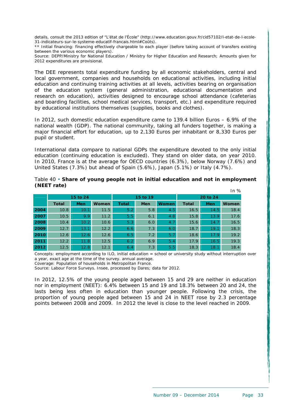details, consult the 2013 edition of "L'état de l'École" (http://www.education.gouv.fr/cid57102/l-etat-de-l-ecole-31-indicateurs-sur-le-systeme-educatif-francais.html#Coûts).

\*\* Initial financing: financing effectively chargeable to each player (before taking account of transfers existing between the various economic players).

Source: DEPP/Ministry for National Education / Ministry for Higher Education and Research; Amounts given for 2012 expenditures are provisional.

The DEE represents total expenditure funding by all economic stakeholders, central and local government, companies and households on educational activities, including initial education and continuing training activities at all levels, activities bearing on organisation of the education system (general administration, educational documentation and research on education), activities designed to encourage school attendance (cafeterias and boarding facilities, school medical services, transport, etc.) and expenditure required by educational institutions themselves (supplies, books and clothes).

In 2012, such domestic education expenditure came to 139.4 billion Euros – 6.9% of the national wealth (GDP). The national community, taking all funders together, is making a major financial effort for education, up to 2,130 Euros per inhabitant or 8,330 Euros per pupil or student.

International data compare to national GDPs the expenditure devoted to the only initial education (continuing education is excluded). They stand on older data, on year 2010. In 2010, France is at the average for OECD countries (6.3%), below Norway (7.6%) and United States (7.3%) but ahead of Spain (5.6%), Japan (5.1%) or Italy (4.7%).

<span id="page-33-0"></span>

|             |  |  | Table 40 • Share of young people not in initial education and not in employment |  |  |
|-------------|--|--|---------------------------------------------------------------------------------|--|--|
| (NEET rate) |  |  |                                                                                 |  |  |

|      | 15 to 24     |                  |       |              | 15 to 19   |              | 20 to 24     |            |              |  |
|------|--------------|------------------|-------|--------------|------------|--------------|--------------|------------|--------------|--|
|      | <b>Total</b> | <b>Men</b>       | Women | <b>Total</b> | <b>Men</b> | <b>Women</b> | <b>Total</b> | <b>Men</b> | <b>Women</b> |  |
| 2004 | 10.8         | 10.1             | 11.5  | 5.2          | 5.8        | 4.5          | 16.5         | 14.5       | 18.4         |  |
| 2007 | 10.5         | 9.9 <sup>°</sup> | 11.2  | 5.5          | 6.1        | 4.8          | 15.8         | 13.9       | 17.6         |  |
| 2008 | 10.4         | 10.2             | 10.6  | 5.3          | 6.0        | 4.7          | 15.6         | 14.7       | 16.5         |  |
| 2009 | 12.7         | 13.1             | 12.2  | 6.6          | 7.3        | 6.0          | 18.7         | 19.1       | 18.3         |  |
| 2010 | 12.6         | 12.6             | 12.6  | 6.5          | 7.2        | 5.7          | 18.6         | 17.9       | 19.2         |  |
| 2011 | 12.2         | 11.8             | 12.5  | 6.2          | 6.9        | 5.4          | 17.9         | 16.5       | 19.3         |  |
| 2012 | 12.5         | 12.8             | 12.1  | 6.4          | 7.3        | 5.5          | 18.3         | 18.1       | 18.4         |  |

Concepts: employment according to ILO, initial education = school or university study without interruption over a year, exact age at the time of the survey. annual average.

Coverage: Population of households in Metropolitan France.

Source: Labour Force Surveys. Insee, processed by Dares; data for 2012.

In 2012, 12.5% of the young people aged between 15 and 29 are neither in education nor in employment (NEET): 6.4% between 15 and 19 and 18.3% between 20 and 24, the lasts being less often in education than younger people. Following the crisis, the proportion of young people aged between 15 and 24 in NEET rose by 2.3 percentage points between 2008 and 2009. In 2012 the level is close to the level reached in 2009.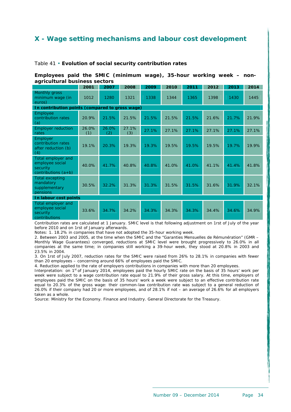# <span id="page-34-0"></span>**X - Wage setting mechanisms and labour cost development**

### <span id="page-34-1"></span>Table 41 • **Evolution of social security contribution rates**

**Employees paid the SMIC (minimum wage), 35-hour working week – nonagricultural business sectors** 

|                                                                              | 2001         | 2007         | 2008         | 2009  | 2010  | 2011  | 2012  | 2013  | 2014  |  |  |
|------------------------------------------------------------------------------|--------------|--------------|--------------|-------|-------|-------|-------|-------|-------|--|--|
| <b>Monthly gross</b><br>minimum wage (in<br>euros)                           | 1012         | 1280         | 1321         | 1338  | 1344  | 1365  | 1398  | 1430  | 1445  |  |  |
| In contribution points (compared to gross wage)                              |              |              |              |       |       |       |       |       |       |  |  |
| Employee<br>contribution rates<br>(a)                                        | 20.9%        | 21.5%        | 21.5%        | 21.5% | 21.5% | 21.5% | 21.6% | 21.7% | 21.9% |  |  |
| <b>Employer</b> reduction<br>rates                                           | 26.0%<br>(1) | 26.0%<br>(2) | 27.1%<br>(3) | 27.1% | 27.1% | 27.1% | 27.1% | 27.1% | 27.1% |  |  |
| Employer<br>contribution rates<br>after reduction (b)<br>(4)                 | 19.1%        | 20.3%        | 19.3%        | 19.3% | 19.5% | 19.5% | 19.5% | 19.7% | 19.9% |  |  |
| Total employer and<br>employee social<br>security<br>contributions $(a + b)$ | 40.0%        | 41.7%        | 40.8%        | 40.8% | 41.0% | 41.0% | 41.1% | 41.4% | 41.8% |  |  |
| <b>Total excepting</b><br>mandatory<br>supplementary<br>pensions             | 30.5%        | 32.2%        | 31.3%        | 31.3% | 31.5% | 31.5% | 31.6% | 31.9% | 32.1% |  |  |
| In labour cost points                                                        |              |              |              |       |       |       |       |       |       |  |  |
| Total employer and<br>employee social<br>security<br>contributions           | 33.6%        | 34.7%        | 34.2%        | 34.3% | 34.3% | 34.3% | 34.4% | 34.6% | 34.9% |  |  |

Contribution rates are calculated at 1 January. SMIC level is that following adjustment on 1rst of July of the year before 2010 and on 1rst of January afterwards.

Notes: 1. 18.2% in companies that have not adopted the 35-hour working week.

2. Between 2003 and 2005, at the time when the SMIC and the "Garanties Mensuelles de Rémunération" (GMR – Monthly Wage Guarantees) converged, reductions at SMIC level were brought progressively to 26.0% in all companies at the same time; in companies still working a 39-hour week, they stood at 20.8% in 2003 and 23.5% in 2004.

3. On 1rst of July 2007, reduction rates for the SMIC were raised from 26% to 28.1% in companies with fewer than 20 employees – concerning around 66% of employees paid the SMIC.

4. Reduction applied to the rate of employers contributions in companies with more than 20 employees.

Interpretation: on 1<sup>st</sup> of January 2014, employees paid the hourly SMIC rate on the basis of 35 hours' work per week were subject to a wage contribution rate equal to 21.9% of their gross salary. At this time, employers of employees paid the SMIC on the basis of 35 hours' work a week were subject to an effective contribution rate equal to 20.3% of the gross wage: their common-law contribution rate was subject to a general reduction of 26.0% if their company had 20 or more employees, and of 28.1% if not – an average of 26.6% for all employers taken as a whole.

Source: Ministry for the Economy. Finance and Industry. General Directorate for the Treasury.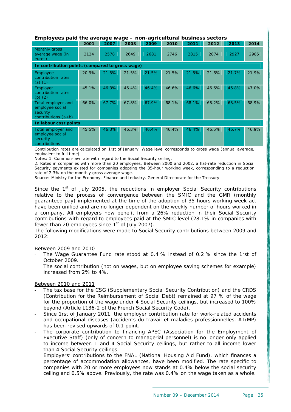#### **Employees paid the average wage – non-agricultural business sectors**

| Ennero yous para the avorage wage<br>ag<br>.                                 |                                                 |       |       |       |       |       |       |       |       |  |  |
|------------------------------------------------------------------------------|-------------------------------------------------|-------|-------|-------|-------|-------|-------|-------|-------|--|--|
|                                                                              | 2001                                            | 2007  | 2008  | 2009  | 2010  | 2011  | 2012  | 2013  | 2014  |  |  |
| Monthly gross<br>average wage (in<br>euros)                                  | 2124                                            | 2578  | 2649  | 2681  | 2746  | 2815  | 2874  | 2927  | 2985  |  |  |
|                                                                              | In contribution points (compared to gross wage) |       |       |       |       |       |       |       |       |  |  |
| Employee<br>contribution rates<br>(a) $(1)$                                  | 20.9%                                           | 21.5% | 21.5% | 21.5% | 21.5% | 21.5% | 21.6% | 21.7% | 21.9% |  |  |
| <b>Employer</b><br>contribution rates<br>(b) $(2)$                           | 45.1%                                           | 46.3% | 46.4% | 46.4% | 46.6% | 46.6% | 46.6% | 46.8% | 47.0% |  |  |
| Total employer and<br>employee social<br>security<br>contributions $(a + b)$ | 66.0%                                           | 67.7% | 67.8% | 67.9% | 68.1% | 68.1% | 68.2% | 68.5% | 68.9% |  |  |
| In labour cost points                                                        |                                                 |       |       |       |       |       |       |       |       |  |  |
| Total employer and<br>employee social<br>security<br>contributions           | 45.5%                                           | 46.3% | 46.3% | 46.4% | 46.4% | 46.4% | 46.5% | 46.7% | 46.9% |  |  |

Contribution rates are calculated on 1rst of January. Wage level corresponds to gross wage (annual average, equivalent to full time).

Notes: 1. Common-law rate with regard to the Social Security ceiling.

2. Rates in companies with more than 20 employees. Between 2000 and 2002. a flat-rate reduction in Social Security payments existed for companies adopting the 35-hour working week, corresponding to a reduction rate of 2.3% on the monthly gross average wage.

Source: Ministry for the Economy. Finance and Industry. General Directorate for the Treasury.

Since the  $1<sup>st</sup>$  of July 2005, the reductions in employer Social Security contributions relative to the process of convergence between the SMIC and the GMR (monthly guaranteed pay) implemented at the time of the adoption of 35-hours working week act have been unified and are no longer dependent on the weekly number of hours worked in a company. All employers now benefit from a 26% reduction in their Social Security contributions with regard to employees paid at the SMIC level (28.1% in companies with fewer than 20 employees since  $1<sup>st</sup>$  of July 2007).

The following modifications were made to Social Security contributions between 2009 and 2012:

#### Between 2009 and 2010

- ‐ The Wage Guarantee Fund rate stood at 0.4 % instead of 0.2 % since the 1rst of October 2009.
- ‐ The social contribution (not on wages, but on employee saving schemes for example) increased from 2% to 4%.

#### Between 2010 and 2011

- ‐ The tax base for the CSG (Supplementary Social Security Contribution) and the CRDS (Contribution for the Reimbursement of Social Debt) remained at 97 % of the wage for the proportion of the wage under 4 Social Security ceilings, but increased to 100% beyond (Article L136-2 of the French Social Security Code).
- Since 1rst of January 2011, the employer contribution rate for work-related accidents and occupational diseases (accidents du travail et maladies professionnelles, AT/MP) has been revised upwards of 0.1 point.
- The corporate contribution to financing APEC (Association for the Employment of Executive Staff) (only of concern to managerial personnel) is no longer only applied to income between 1 and 4 Social Security ceilings, but rather to all income lower than 4 Social Security ceilings.
- ‐ Employers' contributions to the FNAL (National Housing Aid Fund), which finances a percentage of accommodation allowances, have been modified. The rate specific to companies with 20 or more employees now stands at 0.4% below the social security ceiling and 0.5% above. Previously, the rate was 0.4% on the wage taken as a whole.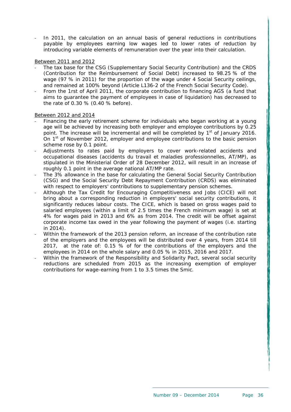In 2011, the calculation on an annual basis of general reductions in contributions payable by employees earning low wages led to lower rates of reduction by introducing variable elements of remuneration over the year into their calculation.

#### Between 2011 and 2012

- ‐ The tax base for the CSG (Supplementary Social Security Contribution) and the CRDS (Contribution for the Reimbursement of Social Debt) increased to 98.25 % of the wage (97 % in 2011) for the proportion of the wage under 4 Social Security ceilings, and remained at 100% beyond (Article L136-2 of the French Social Security Code).
- ‐ From the 1rst of April 2011, the corporate contribution to financing AGS (a fund that aims to guarantee the payment of employees in case of liquidation) has decreased to the rate of 0.30 % (0.40 % before).

#### Between 2012 and 2014

- ‐ Financing the early retirement scheme for individuals who began working at a young age will be achieved by increasing both employer and employee contributions by 0.25 point. The increase will be incremental and will be completed by  $1<sup>st</sup>$  of January 2016. On  $1<sup>st</sup>$  of November 2012, employer and employee contributions to the basic pension scheme rose by 0.1 point.
- Adjustments to rates paid by employers to cover work-related accidents and occupational diseases (accidents du travail et maladies professionnelles, AT/MP), as stipulated in the Ministerial Order of 28 December 2012, will result in an increase of roughly 0.1 point in the average national AT/MP rate.
- ‐ The 3% allowance in the base for calculating the General Social Security Contribution (CSG) and the Social Security Debt Repayment Contribution (CRDS) was eliminated with respect to employers' contributions to supplementary pension schemes.
- ‐ Although the Tax Credit for Encouraging Competitiveness and Jobs (CICE) will not bring about a corresponding reduction in employers' social security contributions, it significantly reduces labour costs. The CICE, which is based on gross wages paid to salaried employees (within a limit of 2.5 times the French minimum wage) is set at 4% for wages paid in 2013 and 6% as from 2014. The credit will be offset against corporate income tax owed in the year following the payment of wages (i.e. starting in 2014).
- ‐ Within the framework of the 2013 pension reform, an increase of the contribution rate of the employers and the employees will be distributed over 4 years, from 2014 till 2017, at the rate of: 0.15 % of for the contributions of the employers and the employees in 2014 on the whole salary and 0.05 % in 2015, 2016 and 2017.
- Within the framework of the Responsibility and Solidarity Pact, several social security reductions are scheduled from 2015 as the increasing exemption of employer contributions for wage-earning from 1 to 3.5 times the Smic.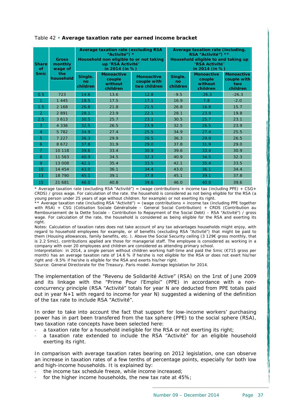| <b>Share</b><br>of<br><b>Smic</b> | <b>Gross</b><br>monthly<br>wage of<br>the<br>household |                                  | <b>Average taxation rate (excluding RSA)</b><br>"Activité") *<br>Household non eligible to or not taking<br>up "RSA Activité"<br>in 2014 (in %) |                                                  | Average taxation rate (including.<br>RSA "Activité") **<br>Household eligible to and taking up<br>"RSA Activité"<br>in 2014 (in %) |                                                    |                                                     |  |  |
|-----------------------------------|--------------------------------------------------------|----------------------------------|-------------------------------------------------------------------------------------------------------------------------------------------------|--------------------------------------------------|------------------------------------------------------------------------------------------------------------------------------------|----------------------------------------------------|-----------------------------------------------------|--|--|
|                                   |                                                        | Single.<br>no<br><b>children</b> | <b>Monoactive</b><br>couple<br>without<br>children                                                                                              | <b>Monoactive</b><br>couple with<br>two children | Single.<br>no<br>children                                                                                                          | <b>Monoactive</b><br>couple<br>without<br>children | <b>Monoactive</b><br>couple with<br>two<br>children |  |  |
| 0.5                               | 723                                                    | 14.6                             | 13.6                                                                                                                                            | 12.8                                             | $-9.5$                                                                                                                             | $-26.3$                                            | $-26.3$                                             |  |  |
| 1                                 | 1 4 4 5                                                | 18.5                             | 17.5                                                                                                                                            | 17.1                                             | 16.9                                                                                                                               | 7.8                                                | $-2.0$                                              |  |  |
| 1.5                               | 2 1 6 8                                                | 26.8                             | 21.8                                                                                                                                            | 21.5                                             | 26.8                                                                                                                               | 16.8                                               | 15.7                                                |  |  |
| $\overline{2}$                    | 2891                                                   | 28.1                             | 23.9                                                                                                                                            | 22.1                                             | 28.1                                                                                                                               | 23.9                                               | 19.8                                                |  |  |
| 2.5                               | 3 6 1 3                                                | 30.5                             | 25.7                                                                                                                                            | 23.1                                             | 30.5                                                                                                                               | 25.7                                               | 23.1                                                |  |  |
| 3                                 | 4 3 3 6                                                | 32.5                             | 26.5                                                                                                                                            | 23.9                                             | 32.5                                                                                                                               | 26.5                                               | 23.9                                                |  |  |
| $\overline{4}$                    | 5 7 8 2                                                | 34.9                             | 27.4                                                                                                                                            | 25.5                                             | 34.9                                                                                                                               | 27.4                                               | 25.5                                                |  |  |
| 5                                 | 7 2 2 7                                                | 36.3                             | 29.9                                                                                                                                            | 26.5                                             | 36.3                                                                                                                               | 29.9                                               | 26.5                                                |  |  |
| 6                                 | 8 6 7 2                                                | 37.8                             | 31.9                                                                                                                                            | 29.0                                             | 37.8                                                                                                                               | 31.9                                               | 29.0                                                |  |  |
| 7                                 | 10 118                                                 | 39.6                             | 33.4                                                                                                                                            | 30.9                                             | 39.6                                                                                                                               | 33.4                                               | 30.9                                                |  |  |
| 8                                 | 11 563                                                 | 40.9                             | 34.5                                                                                                                                            | 32.3                                             | 40.9                                                                                                                               | 34.5                                               | 32.3                                                |  |  |
| 9                                 | 13 008                                                 | 42.1                             | 35.4                                                                                                                                            | 33.5                                             | 42.1                                                                                                                               | 35.4                                               | 33.5                                                |  |  |
| 10                                | 14 454                                                 | 43.0                             | 36.1                                                                                                                                            | 34.4                                             | 43.0                                                                                                                               | 36.1                                               | 34.4                                                |  |  |
| 13                                | 18 790                                                 | 45.1                             | 39.1                                                                                                                                            | 37.8                                             | 45.1                                                                                                                               | 39.1                                               | 37.8                                                |  |  |
| 15                                | 21 681                                                 | 46.0                             | 40.8                                                                                                                                            | 39.6                                             | 46.0                                                                                                                               | 40.8                                               | 39.6                                                |  |  |

## <span id="page-37-0"></span>Table 42 • **Average taxation rate per earned income bracket**

\* Average taxation rate (excluding RSA "Activité") = (wage contributions + income tax (including PPE) + CSG+ CRDS) / gross wage. For calculation of the rate. the household is considered as not being eligible for the RSA (a young person under 25 years of age without children. for example) or not exerting its right.

\* Average taxation rate (including RSA "Activité") = (wage contributions + income tax (including PPE together with RSA) + CSG (Cotisation Sociale Généralisée – General Social Contribution) + CRDS (Contribution au Remboursement de la Dette Sociale – Contribution to Repayment of the Social Debt) – RSA "Activité") / gross wage. For calculation of the rate, the household is considered as being eligible for the RSA and exerting its right.

Notes: Calculation of taxation rates does not take account of any tax advantages households might enjoy, with regard to household employees for example, or of benefits (excluding RSA "Activité") that might be paid to them (Housing allowances, family benefits, etc. ). Above the Social Security ceiling (3 129€ gross monthly, that is 2.2 Smic), contributions applied are those for managerial staff. The employee is considered as working in a company with over 20 employees and children are considered as attending primary school.

Interpretation: in 2014, a single person without children working half-time and paid the Smic (€715 gross per month) has an average taxation rate of 14.6 % if he/she is not eligible for the RSA or does not exert his/her right and -9.5% if he/she is eligible for the RSA and exerts his/her right.

Source: General Directorate for the Treasury. Paris model. Average legislation for 2014.

The implementation of the "Revenu de Solidarité Active" (RSA) on the 1rst of June 2009 and its linkage with the "Prime Pour l'Emploi" (PPE) in accordance with a nonconcurrency principle (RSA "Activité" totals for year N are deducted from PPE totals paid out in year N+1 with regard to income for year N) suggested a widening of the definition of the tax rate to include RSA "Activité".

In order to take into account the fact that support for low-income workers' purchasing power has in part been transfered from the tax sphere (PPE) to the social sphere (RSA), two taxation rate concepts have been selected here:

- a taxation rate for a household ineligible for the RSA or not exerting its right;
- a taxation rate extended to include the RSA "Activité" for an eligible household exerting its right.

In comparison with average taxation rates bearing on 2012 legislation, one can observe an increase in taxation rates of a few tenths of percentage points, especially for both low and high-income households. It is explained by:

- the income tax schedule freeze, while income increased;
- for the higher income households, the new tax rate at  $45\%$ ;